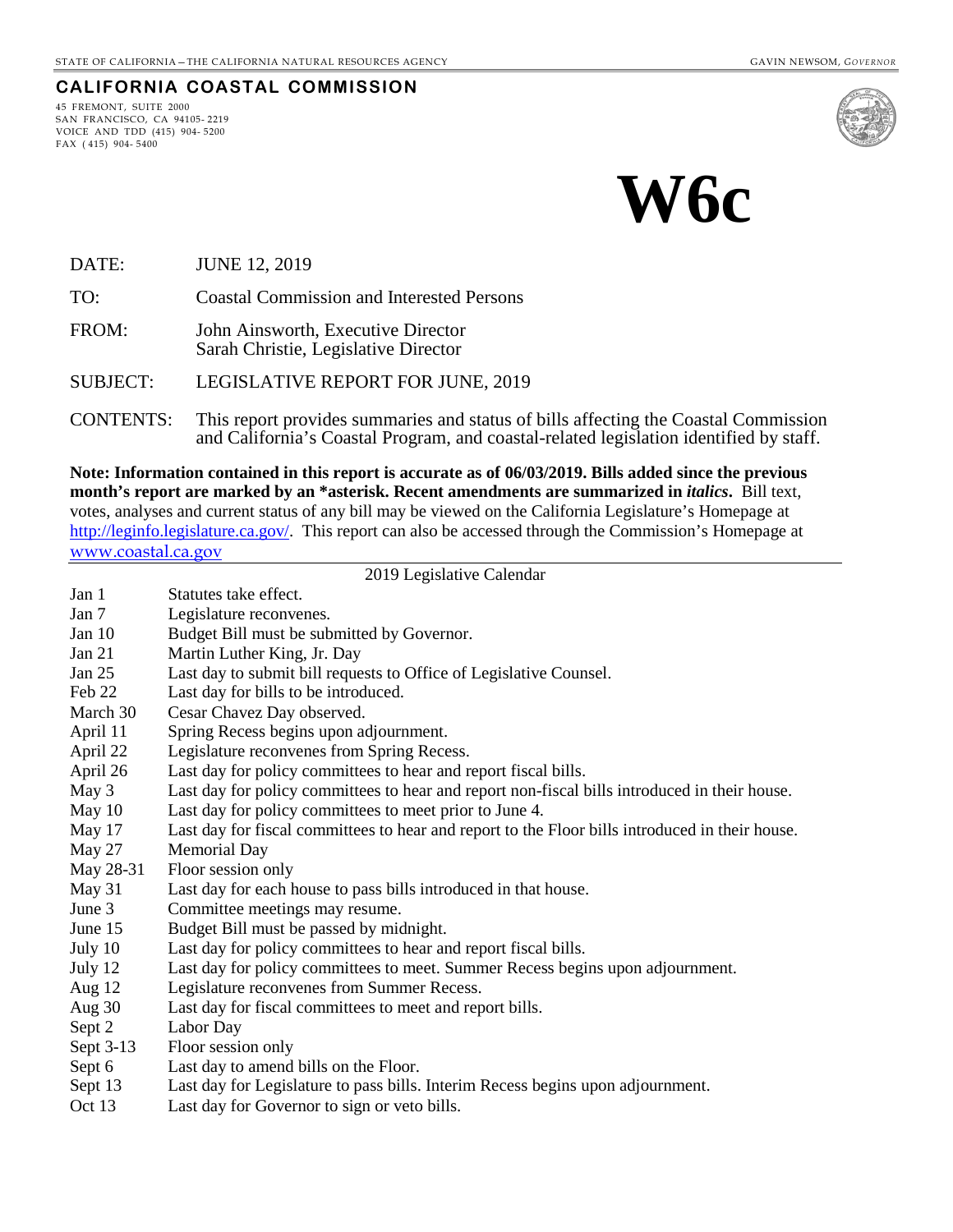#### **CALIFORNIA COASTAL COMMISSION**

45 FREMONT, SUITE 2000 SAN FRANCISCO, CA 94105- 2219 VOICE AND TDD (415) 904- 5200 FAX ( 415) 904- 5400



# **W6c**

DATE: JUNE 12, 2019

TO: Coastal Commission and Interested Persons

FROM: John Ainsworth, Executive Director Sarah Christie, Legislative Director

SUBJECT: LEGISLATIVE REPORT FOR JUNE, 2019

CONTENTS: This report provides summaries and status of bills affecting the Coastal Commission and California's Coastal Program, and coastal-related legislation identified by staff.

**Note: Information contained in this report is accurate as of 06/03/2019. Bills added since the previous month's report are marked by an \*asterisk. Recent amendments are summarized in** *italics***.** Bill text, votes, analyses and current status of any bill may be viewed on the California Legislature's Homepage at [http://leginfo.legislature.ca.gov/.](http://leginfo.legislature.ca.gov/) This report can also be accessed through the Commission's Homepage at [www.coastal.ca.gov](http://www.coastal.ca.gov/)

# 2019 Legislative Calendar

|           | 2017 Legislative Calendar                                                                       |
|-----------|-------------------------------------------------------------------------------------------------|
| Jan 1     | Statutes take effect.                                                                           |
| Jan 7     | Legislature reconvenes.                                                                         |
| Jan $10$  | Budget Bill must be submitted by Governor.                                                      |
| Jan 21    | Martin Luther King, Jr. Day                                                                     |
| Jan $25$  | Last day to submit bill requests to Office of Legislative Counsel.                              |
| Feb 22    | Last day for bills to be introduced.                                                            |
| March 30  | Cesar Chavez Day observed.                                                                      |
| April 11  | Spring Recess begins upon adjournment.                                                          |
| April 22  | Legislature reconvenes from Spring Recess.                                                      |
| April 26  | Last day for policy committees to hear and report fiscal bills.                                 |
| May 3     | Last day for policy committees to hear and report non-fiscal bills introduced in their house.   |
| May 10    | Last day for policy committees to meet prior to June 4.                                         |
| May 17    | Last day for fiscal committees to hear and report to the Floor bills introduced in their house. |
| May 27    | <b>Memorial Day</b>                                                                             |
| May 28-31 | Floor session only                                                                              |
| May 31    | Last day for each house to pass bills introduced in that house.                                 |
| June 3    | Committee meetings may resume.                                                                  |
| June 15   | Budget Bill must be passed by midnight.                                                         |
| July 10   | Last day for policy committees to hear and report fiscal bills.                                 |
| July 12   | Last day for policy committees to meet. Summer Recess begins upon adjournment.                  |
| Aug 12    | Legislature reconvenes from Summer Recess.                                                      |
| Aug $30$  | Last day for fiscal committees to meet and report bills.                                        |
| Sept 2    | Labor Day                                                                                       |
| Sept 3-13 | Floor session only                                                                              |
| Sept 6    | Last day to amend bills on the Floor.                                                           |
| Sept 13   | Last day for Legislature to pass bills. Interim Recess begins upon adjournment.                 |
| Oct 13    | Last day for Governor to sign or veto bills.                                                    |
|           |                                                                                                 |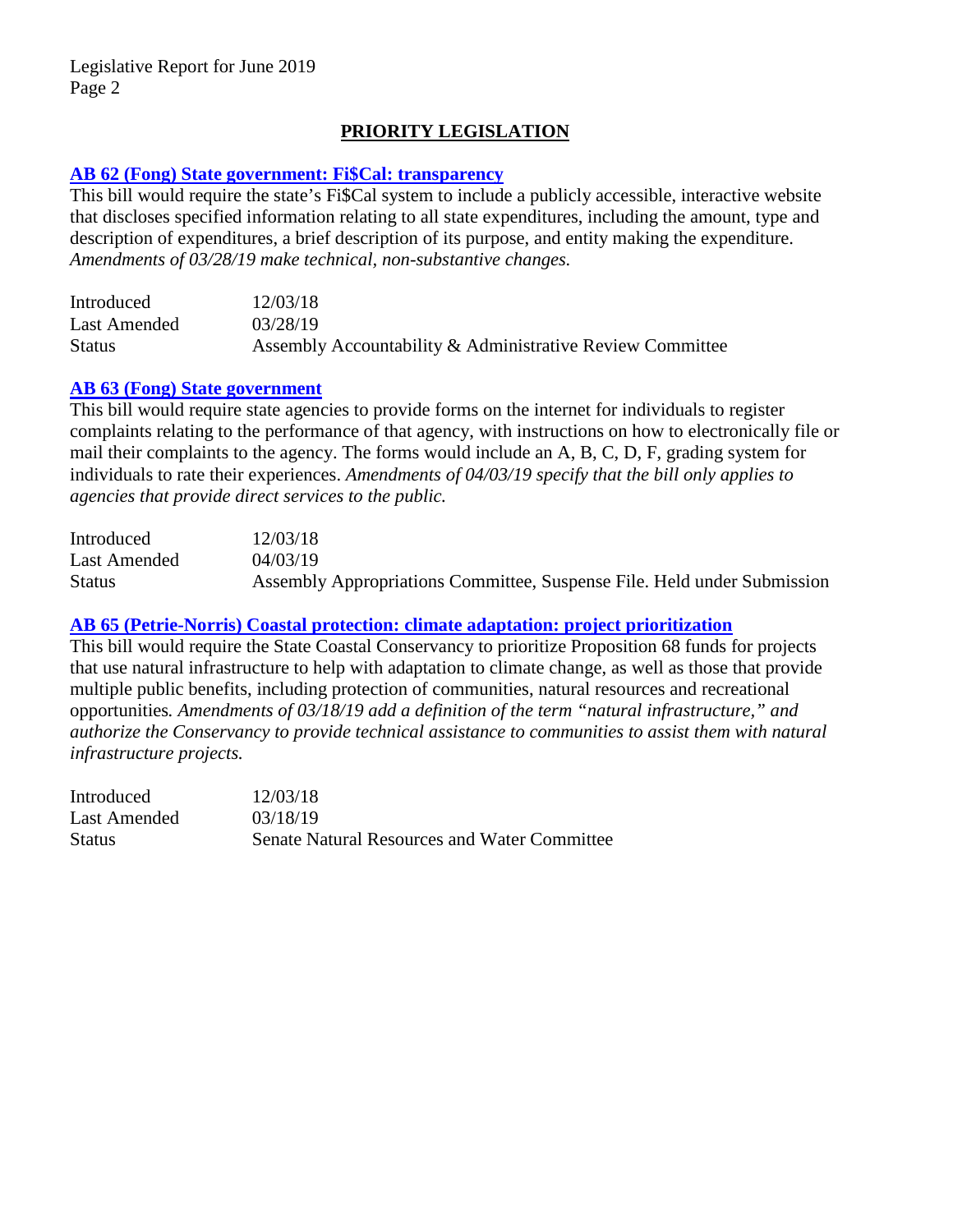# **PRIORITY LEGISLATION**

#### **[AB 62 \(Fong\) State government: Fi\\$Cal: transparency](http://leginfo.legislature.ca.gov/faces/billNavClient.xhtml?bill_id=201920200AB62)**

This bill would require the state's Fi\$Cal system to include a publicly accessible, interactive website that discloses specified information relating to all state expenditures, including the amount, type and description of expenditures, a brief description of its purpose, and entity making the expenditure. *Amendments of 03/28/19 make technical, non-substantive changes.*

| Introduced    | 12/03/18                                                  |
|---------------|-----------------------------------------------------------|
| Last Amended  | 03/28/19                                                  |
| <b>Status</b> | Assembly Accountability & Administrative Review Committee |

#### **[AB 63 \(Fong\) State government](http://leginfo.legislature.ca.gov/faces/billNavClient.xhtml?bill_id=201920200AB63)**

This bill would require state agencies to provide forms on the internet for individuals to register complaints relating to the performance of that agency, with instructions on how to electronically file or mail their complaints to the agency. The forms would include an A, B, C, D, F, grading system for individuals to rate their experiences. *Amendments of 04/03/19 specify that the bill only applies to agencies that provide direct services to the public.*

| Introduced    | 12/03/18                                                                |
|---------------|-------------------------------------------------------------------------|
| Last Amended  | 04/03/19                                                                |
| <b>Status</b> | Assembly Appropriations Committee, Suspense File. Held under Submission |

### **[AB 65 \(Petrie-Norris\) Coastal protection: climate adaptation: project prioritization](http://leginfo.legislature.ca.gov/faces/billNavClient.xhtml?bill_id=201920200AB65)**

This bill would require the State Coastal Conservancy to prioritize Proposition 68 funds for projects that use natural infrastructure to help with adaptation to climate change, as well as those that provide multiple public benefits, including protection of communities, natural resources and recreational opportunities*. Amendments of 03/18/19 add a definition of the term "natural infrastructure," and authorize the Conservancy to provide technical assistance to communities to assist them with natural infrastructure projects.*

Introduced 12/03/18 Last Amended 03/18/19 Status Senate Natural Resources and Water Committee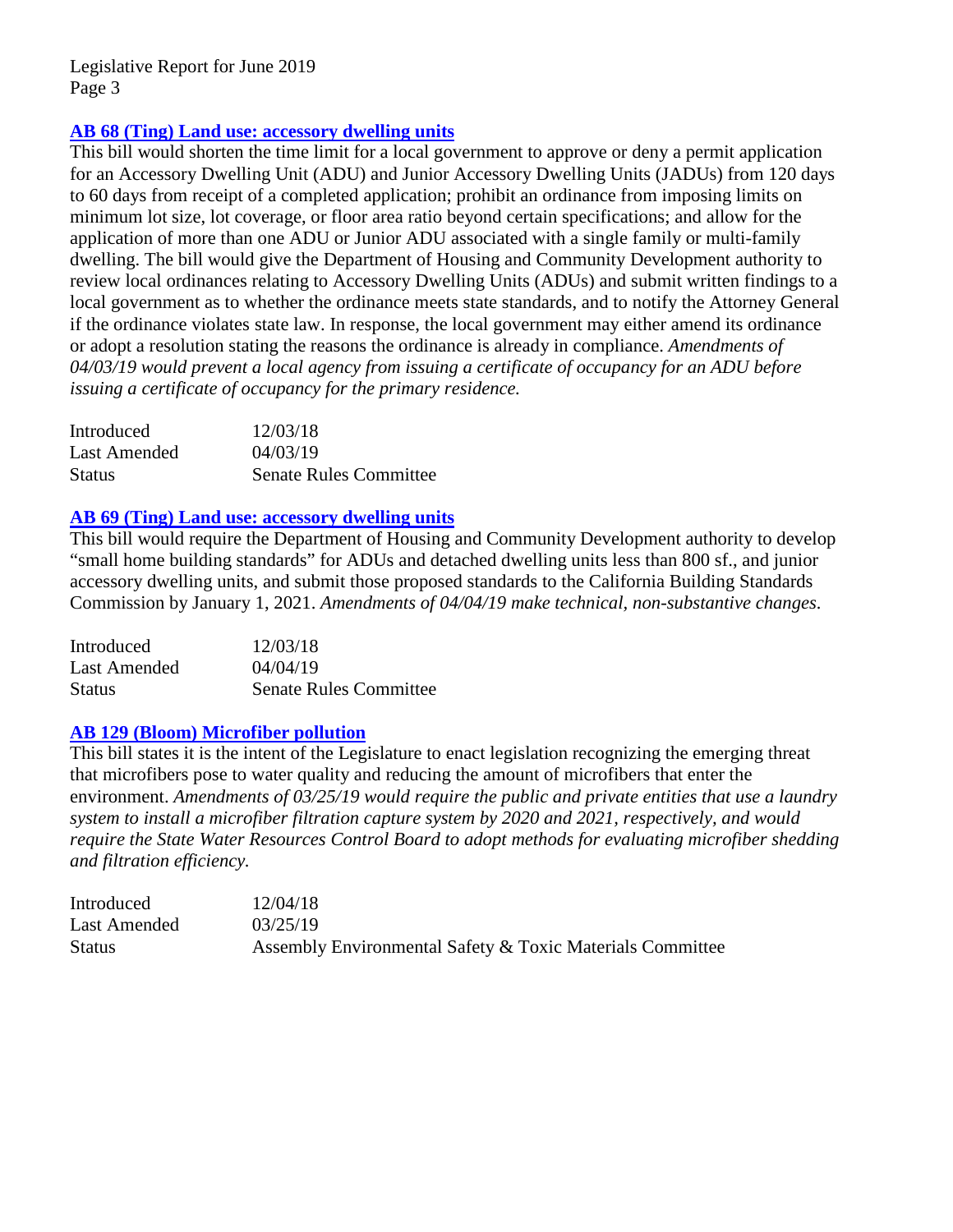# **[AB 68 \(Ting\) Land use: accessory dwelling units](http://leginfo.legislature.ca.gov/faces/billNavClient.xhtml?bill_id=201920200AB68)**

This bill would shorten the time limit for a local government to approve or deny a permit application for an Accessory Dwelling Unit (ADU) and Junior Accessory Dwelling Units (JADUs) from 120 days to 60 days from receipt of a completed application; prohibit an ordinance from imposing limits on minimum lot size, lot coverage, or floor area ratio beyond certain specifications; and allow for the application of more than one ADU or Junior ADU associated with a single family or multi-family dwelling. The bill would give the Department of Housing and Community Development authority to review local ordinances relating to Accessory Dwelling Units (ADUs) and submit written findings to a local government as to whether the ordinance meets state standards, and to notify the Attorney General if the ordinance violates state law. In response, the local government may either amend its ordinance or adopt a resolution stating the reasons the ordinance is already in compliance. *Amendments of 04/03/19 would prevent a local agency from issuing a certificate of occupancy for an ADU before issuing a certificate of occupancy for the primary residence.*

| Introduced    | 12/03/18                      |
|---------------|-------------------------------|
| Last Amended  | 04/03/19                      |
| <b>Status</b> | <b>Senate Rules Committee</b> |

# **[AB 69 \(Ting\) Land use: accessory dwelling units](http://leginfo.legislature.ca.gov/faces/billNavClient.xhtml?bill_id=201920200AB69)**

This bill would require the Department of Housing and Community Development authority to develop "small home building standards" for ADUs and detached dwelling units less than 800 sf., and junior accessory dwelling units, and submit those proposed standards to the California Building Standards Commission by January 1, 2021. *Amendments of 04/04/19 make technical, non-substantive changes.*

| Introduced    | 12/03/18                      |
|---------------|-------------------------------|
| Last Amended  | 04/04/19                      |
| <b>Status</b> | <b>Senate Rules Committee</b> |

#### **[AB 129 \(Bloom\) Microfiber pollution](http://leginfo.legislature.ca.gov/faces/billNavClient.xhtml?bill_id=201920200AB129)**

This bill states it is the intent of the Legislature to enact legislation recognizing the emerging threat that microfibers pose to water quality and reducing the amount of microfibers that enter the environment. *Amendments of 03/25/19 would require the public and private entities that use a laundry system to install a microfiber filtration capture system by 2020 and 2021, respectively, and would require the State Water Resources Control Board to adopt methods for evaluating microfiber shedding and filtration efficiency.*

| Introduced    | 12/04/18                                                  |
|---------------|-----------------------------------------------------------|
| Last Amended  | 03/25/19                                                  |
| <b>Status</b> | Assembly Environmental Safety & Toxic Materials Committee |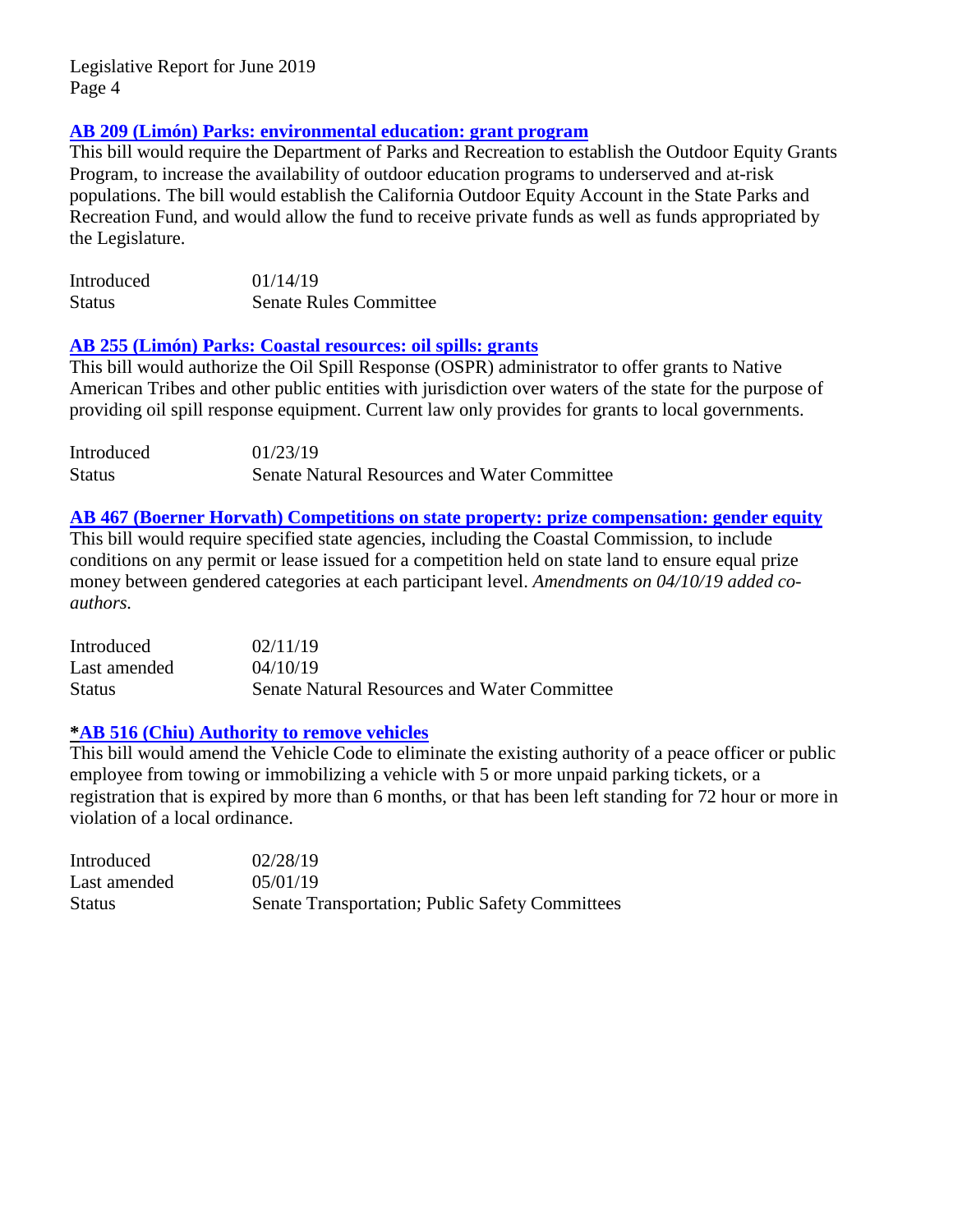# **AB 209 (Limón) [Parks: environmental education: grant program](http://leginfo.legislature.ca.gov/faces/billNavClient.xhtml?bill_id=201920200AB209)**

This bill would require the Department of Parks and Recreation to establish the Outdoor Equity Grants Program, to increase the availability of outdoor education programs to underserved and at-risk populations. The bill would establish the California Outdoor Equity Account in the State Parks and Recreation Fund, and would allow the fund to receive private funds as well as funds appropriated by the Legislature.

| Introduced    | 01/14/19                      |
|---------------|-------------------------------|
| <b>Status</b> | <b>Senate Rules Committee</b> |

#### **[AB 255 \(Limón\) Parks: Coastal resources: oil spills: grants](http://leginfo.legislature.ca.gov/faces/billNavClient.xhtml?bill_id=201920200AB255)**

This bill would authorize the Oil Spill Response (OSPR) administrator to offer grants to Native American Tribes and other public entities with jurisdiction over waters of the state for the purpose of providing oil spill response equipment. Current law only provides for grants to local governments.

| Introduced    | 01/23/19                                            |
|---------------|-----------------------------------------------------|
| <b>Status</b> | <b>Senate Natural Resources and Water Committee</b> |

# **AB 467 (Boerner [Horvath\) Competitions on state property: prize compensation: gender equity](http://leginfo.legislature.ca.gov/faces/billNavClient.xhtml?bill_id=201920200AB467)**

This bill would require specified state agencies, including the Coastal Commission, to include conditions on any permit or lease issued for a competition held on state land to ensure equal prize money between gendered categories at each participant level. *Amendments on 04/10/19 added coauthors.*

| Introduced   | 02/11/19                                     |
|--------------|----------------------------------------------|
| Last amended | 04/10/19                                     |
| Status       | Senate Natural Resources and Water Committee |

#### **[\\*AB 516 \(Chiu\) Authority to remove vehicles](http://leginfo.legislature.ca.gov/faces/billNavClient.xhtml?bill_id=201920200AB516)**

This bill would amend the Vehicle Code to eliminate the existing authority of a peace officer or public employee from towing or immobilizing a vehicle with 5 or more unpaid parking tickets, or a registration that is expired by more than 6 months, or that has been left standing for 72 hour or more in violation of a local ordinance.

| Introduced    | 02/28/19                                               |
|---------------|--------------------------------------------------------|
| Last amended  | 05/01/19                                               |
| <b>Status</b> | <b>Senate Transportation; Public Safety Committees</b> |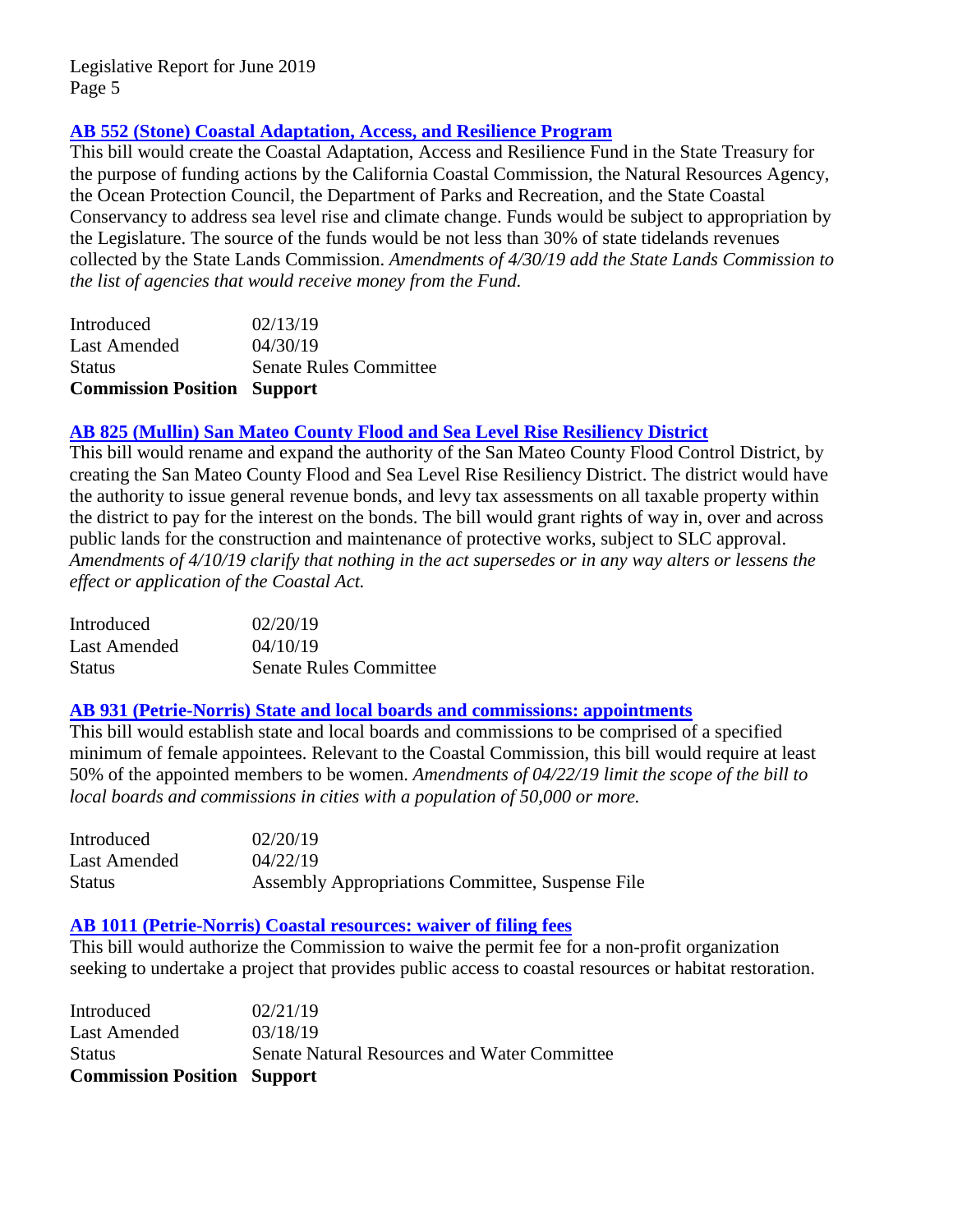# **[AB 552 \(Stone\) Coastal Adaptation,](http://leginfo.legislature.ca.gov/faces/billNavClient.xhtml?bill_id=201920200AB552) Access, and Resilience Program**

This bill would create the Coastal Adaptation, Access and Resilience Fund in the State Treasury for the purpose of funding actions by the California Coastal Commission, the Natural Resources Agency, the Ocean Protection Council, the Department of Parks and Recreation, and the State Coastal Conservancy to address sea level rise and climate change. Funds would be subject to appropriation by the Legislature. The source of the funds would be not less than 30% of state tidelands revenues collected by the State Lands Commission. *Amendments of 4/30/19 add the State Lands Commission to the list of agencies that would receive money from the Fund.*

| <b>Commission Position Support</b> |                               |
|------------------------------------|-------------------------------|
| <b>Status</b>                      | <b>Senate Rules Committee</b> |
| Last Amended                       | 04/30/19                      |
| Introduced                         | 02/13/19                      |

# **[AB 825 \(Mullin\) San Mateo County Flood and Sea Level Rise Resiliency District](http://leginfo.legislature.ca.gov/faces/billNavClient.xhtml?bill_id=201920200AB825)**

This bill would rename and expand the authority of the San Mateo County Flood Control District, by creating the San Mateo County Flood and Sea Level Rise Resiliency District. The district would have the authority to issue general revenue bonds, and levy tax assessments on all taxable property within the district to pay for the interest on the bonds. The bill would grant rights of way in, over and across public lands for the construction and maintenance of protective works, subject to SLC approval. *Amendments of 4/10/19 clarify that nothing in the act supersedes or in any way alters or lessens the effect or application of the Coastal Act.*

| Introduced    | 02/20/19                      |
|---------------|-------------------------------|
| Last Amended  | 04/10/19                      |
| <b>Status</b> | <b>Senate Rules Committee</b> |

### **[AB 931 \(Petrie-Norris\) State and local boards and commissions: appointments](http://leginfo.legislature.ca.gov/faces/billNavClient.xhtml?bill_id=201920200AB931)**

This bill would establish state and local boards and commissions to be comprised of a specified minimum of female appointees. Relevant to the Coastal Commission, this bill would require at least 50% of the appointed members to be women. *Amendments of 04/22/19 limit the scope of the bill to local boards and commissions in cities with a population of 50,000 or more.*

| Introduced   | 02/20/19                                         |
|--------------|--------------------------------------------------|
| Last Amended | 04/22/19                                         |
| Status       | Assembly Appropriations Committee, Suspense File |

# **[AB 1011 \(Petrie-Norris\) Coastal resources: waiver of filing fees](http://leginfo.legislature.ca.gov/faces/billNavClient.xhtml?bill_id=201920200AB1011)**

This bill would authorize the Commission to waive the permit fee for a non-profit organization seeking to undertake a project that provides public access to coastal resources or habitat restoration.

| <b>Commission Position Support</b> |                                                     |
|------------------------------------|-----------------------------------------------------|
| <b>Status</b>                      | <b>Senate Natural Resources and Water Committee</b> |
| Last Amended                       | 03/18/19                                            |
| Introduced                         | 02/21/19                                            |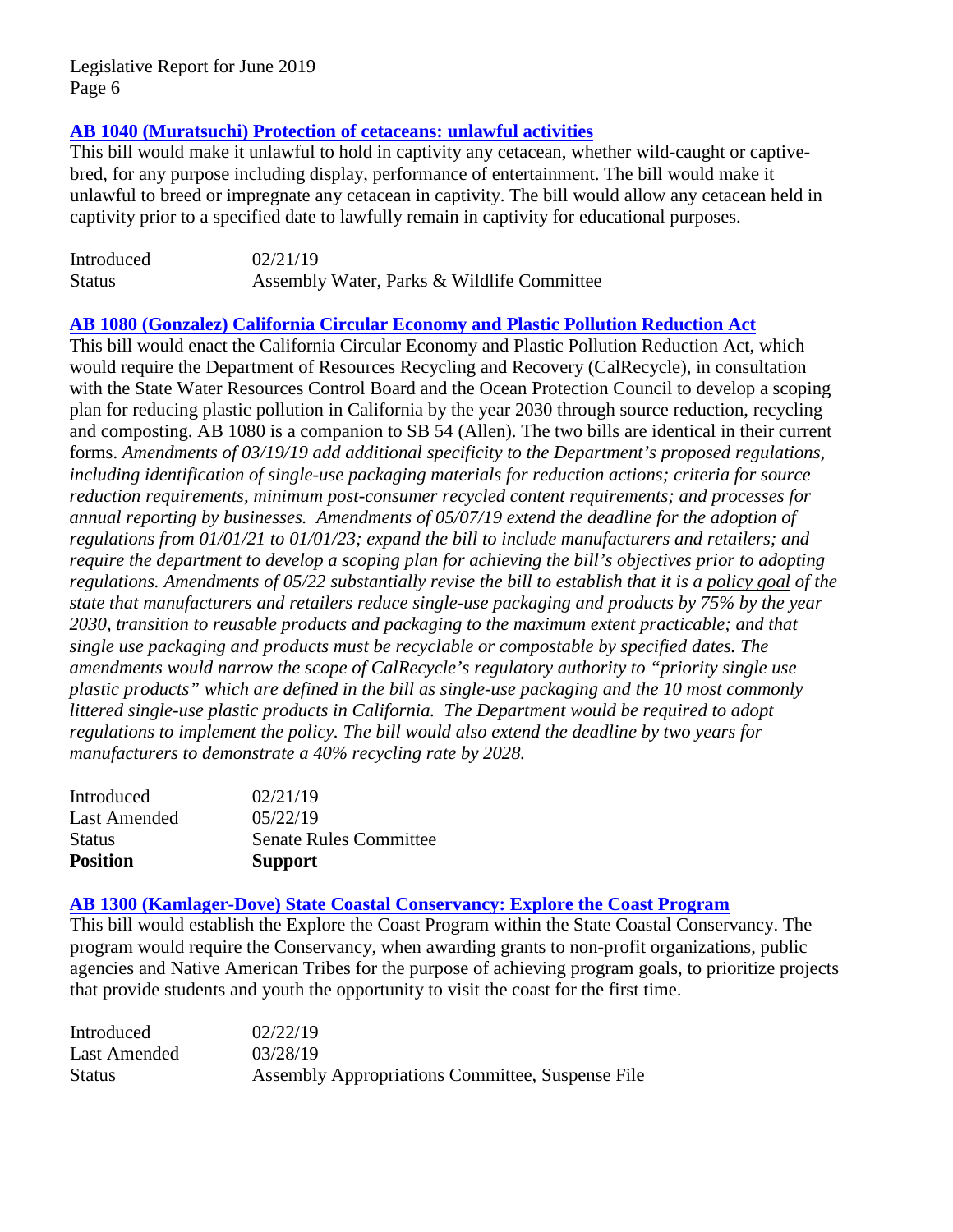# **[AB 1040 \(Muratsuchi\) Protection of cetaceans: unlawful activities](http://leginfo.legislature.ca.gov/faces/billNavClient.xhtml?bill_id=201920200AB1040)**

This bill would make it unlawful to hold in captivity any cetacean, whether wild-caught or captivebred, for any purpose including display, performance of entertainment. The bill would make it unlawful to breed or impregnate any cetacean in captivity. The bill would allow any cetacean held in captivity prior to a specified date to lawfully remain in captivity for educational purposes.

| Introduced    | 02/21/19                                   |
|---------------|--------------------------------------------|
| <b>Status</b> | Assembly Water, Parks & Wildlife Committee |

#### **[AB 1080 \(Gonzalez\) California Circular Economy and Plastic Pollution Reduction Act](http://leginfo.legislature.ca.gov/faces/billNavClient.xhtml?bill_id=201920200AB1080)**

This bill would enact the California Circular Economy and Plastic Pollution Reduction Act, which would require the Department of Resources Recycling and Recovery (CalRecycle), in consultation with the State Water Resources Control Board and the Ocean Protection Council to develop a scoping plan for reducing plastic pollution in California by the year 2030 through source reduction, recycling and composting. AB 1080 is a companion to SB 54 (Allen). The two bills are identical in their current forms. *Amendments of 03/19/19 add additional specificity to the Department's proposed regulations, including identification of single-use packaging materials for reduction actions; criteria for source reduction requirements, minimum post-consumer recycled content requirements; and processes for annual reporting by businesses. Amendments of 05/07/19 extend the deadline for the adoption of regulations from 01/01/21 to 01/01/23; expand the bill to include manufacturers and retailers; and require the department to develop a scoping plan for achieving the bill's objectives prior to adopting regulations. Amendments of 05/22 substantially revise the bill to establish that it is a policy goal of the state that manufacturers and retailers reduce single-use packaging and products by 75% by the year 2030, transition to reusable products and packaging to the maximum extent practicable; and that single use packaging and products must be recyclable or compostable by specified dates. The amendments would narrow the scope of CalRecycle's regulatory authority to "priority single use plastic products" which are defined in the bill as single-use packaging and the 10 most commonly littered single-use plastic products in California. The Department would be required to adopt regulations to implement the policy. The bill would also extend the deadline by two years for manufacturers to demonstrate a 40% recycling rate by 2028.* 

| <b>Position</b> | <b>Support</b>                |
|-----------------|-------------------------------|
| <b>Status</b>   | <b>Senate Rules Committee</b> |
| Last Amended    | 05/22/19                      |
| Introduced      | 02/21/19                      |

#### **[AB 1300 \(Kamlager-Dove\) State Coastal Conservancy: Explore the Coast Program](http://leginfo.legislature.ca.gov/faces/billNavClient.xhtml?bill_id=201920200AB1300)**

This bill would establish the Explore the Coast Program within the State Coastal Conservancy. The program would require the Conservancy, when awarding grants to non-profit organizations, public agencies and Native American Tribes for the purpose of achieving program goals, to prioritize projects that provide students and youth the opportunity to visit the coast for the first time.

| Introduced    | 02/22/19                                         |
|---------------|--------------------------------------------------|
| Last Amended  | 03/28/19                                         |
| <b>Status</b> | Assembly Appropriations Committee, Suspense File |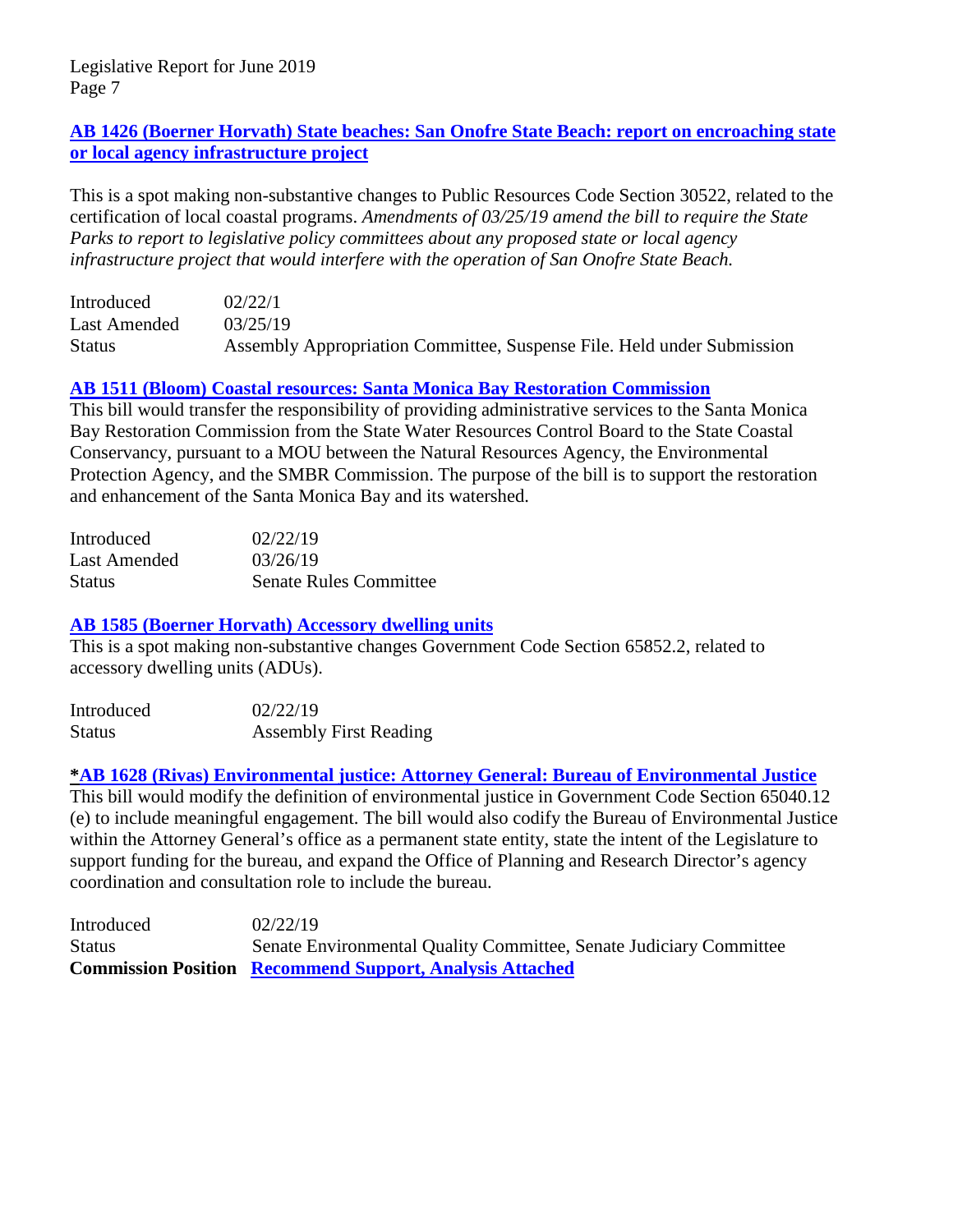# **AB 1426 (Boerner [Horvath\) State beaches: San Onofre State Beach: report on encroaching state](http://leginfo.legislature.ca.gov/faces/billNavClient.xhtml?bill_id=201920200AB1426)  [or local agency infrastructure project](http://leginfo.legislature.ca.gov/faces/billNavClient.xhtml?bill_id=201920200AB1426)**

This is a spot making non-substantive changes to Public Resources Code Section 30522, related to the certification of local coastal programs. *Amendments of 03/25/19 amend the bill to require the State Parks to report to legislative policy committees about any proposed state or local agency infrastructure project that would interfere with the operation of San Onofre State Beach.*

| Introduced    | 02/22/1                                                                |
|---------------|------------------------------------------------------------------------|
| Last Amended  | 03/25/19                                                               |
| <b>Status</b> | Assembly Appropriation Committee, Suspense File. Held under Submission |

# **[AB 1511 \(Bloom\) Coastal resources: Santa Monica Bay Restoration Commission](http://leginfo.legislature.ca.gov/faces/billNavClient.xhtml?bill_id=201920200AB1511)**

This bill would transfer the responsibility of providing administrative services to the Santa Monica Bay Restoration Commission from the State Water Resources Control Board to the State Coastal Conservancy, pursuant to a MOU between the Natural Resources Agency, the Environmental Protection Agency, and the SMBR Commission. The purpose of the bill is to support the restoration and enhancement of the Santa Monica Bay and its watershed.

| Introduced    | 02/22/19                      |
|---------------|-------------------------------|
| Last Amended  | 03/26/19                      |
| <b>Status</b> | <b>Senate Rules Committee</b> |

# **[AB 1585 \(Boerner Horvath\) Accessory dwelling units](http://leginfo.legislature.ca.gov/faces/billNavClient.xhtml?bill_id=201920200AB1585)**

This is a spot making non-substantive changes Government Code Section 65852.2, related to accessory dwelling units (ADUs).

| Introduced    | 02/22/19                      |
|---------------|-------------------------------|
| <b>Status</b> | <b>Assembly First Reading</b> |

# **\*AB 1628 (Rivas) Environmental justice: Attorney General: Bureau of Environmental Justice**

This bill would modify the definition of environmental justice in Government Code Section 65040.12 (e) to include meaningful engagement. The bill would also codify the Bureau of Environmental Justice within the Attorney General's office as a permanent state entity, state the intent of the Legislature to support funding for the bureau, and expand the Office of Planning and Research Director's agency coordination and consultation role to include the bureau.

Introduced 02/22/19 Status Senate Environmental Quality Committee, Senate Judiciary Committee **Commission Position [Recommend Support, Analysis Attached](#page-17-0)**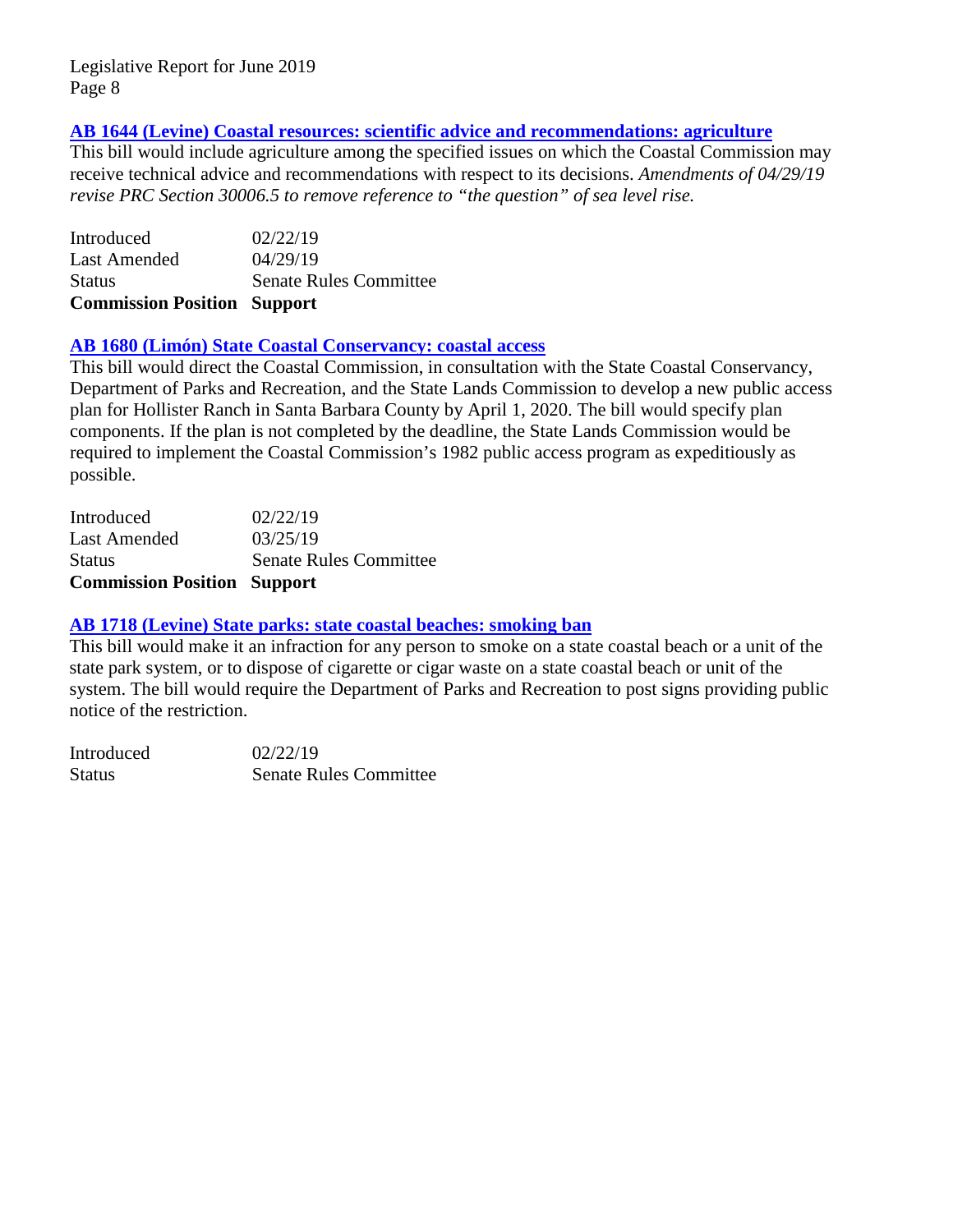# **[AB 1644 \(Levine\) Coastal resources: scientific advice and recommendations: agriculture](http://leginfo.legislature.ca.gov/faces/billNavClient.xhtml?bill_id=201920200AB1644)**

This bill would include agriculture among the specified issues on which the Coastal Commission may receive technical advice and recommendations with respect to its decisions. *Amendments of 04/29/19 revise PRC Section 30006.5 to remove reference to "the question" of sea level rise.*

| <b>Commission Position Support</b> |
|------------------------------------|
| <b>Senate Rules Committee</b>      |
| 04/29/19                           |
| 02/22/19                           |
|                                    |

#### **[AB 1680 \(Limón\) State Coastal Conservancy: coastal access](http://leginfo.legislature.ca.gov/faces/billNavClient.xhtml?bill_id=201920200AB1680)**

This bill would direct the Coastal Commission, in consultation with the State Coastal Conservancy, Department of Parks and Recreation, and the State Lands Commission to develop a new public access plan for Hollister Ranch in Santa Barbara County by April 1, 2020. The bill would specify plan components. If the plan is not completed by the deadline, the State Lands Commission would be required to implement the Coastal Commission's 1982 public access program as expeditiously as possible.

| <b>Commission Position Support</b> |                               |
|------------------------------------|-------------------------------|
| <b>Status</b>                      | <b>Senate Rules Committee</b> |
| <b>Last Amended</b>                | 03/25/19                      |
| Introduced                         | 02/22/19                      |

#### **[AB 1718 \(Levine\) State parks: state coastal beaches: smoking ban](http://leginfo.legislature.ca.gov/faces/billNavClient.xhtml?bill_id=201920200AB1718)**

This bill would make it an infraction for any person to smoke on a state coastal beach or a unit of the state park system, or to dispose of cigarette or cigar waste on a state coastal beach or unit of the system. The bill would require the Department of Parks and Recreation to post signs providing public notice of the restriction.

| Introduced    | 02/22/19                      |
|---------------|-------------------------------|
| <b>Status</b> | <b>Senate Rules Committee</b> |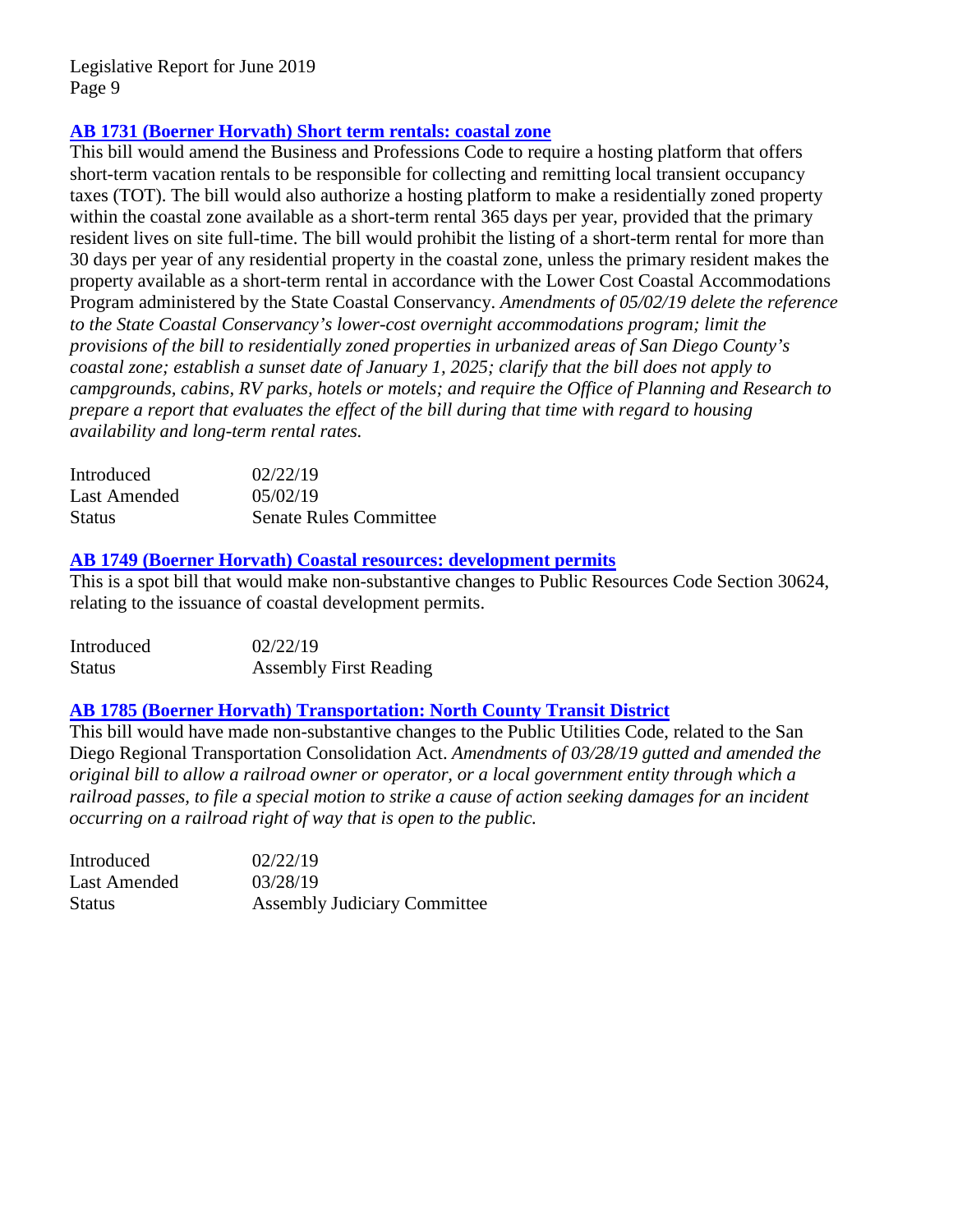# **AB 1731 (Boerner [Horvath\) Short term rentals: coastal zone](http://leginfo.legislature.ca.gov/faces/billNavClient.xhtml?bill_id=201920200AB1731)**

This bill would amend the Business and Professions Code to require a hosting platform that offers short-term vacation rentals to be responsible for collecting and remitting local transient occupancy taxes (TOT). The bill would also authorize a hosting platform to make a residentially zoned property within the coastal zone available as a short-term rental 365 days per year, provided that the primary resident lives on site full-time. The bill would prohibit the listing of a short-term rental for more than 30 days per year of any residential property in the coastal zone, unless the primary resident makes the property available as a short-term rental in accordance with the Lower Cost Coastal Accommodations Program administered by the State Coastal Conservancy. *Amendments of 05/02/19 delete the reference to the State Coastal Conservancy's lower-cost overnight accommodations program; limit the provisions of the bill to residentially zoned properties in urbanized areas of San Diego County's coastal zone; establish a sunset date of January 1, 2025; clarify that the bill does not apply to campgrounds, cabins, RV parks, hotels or motels; and require the Office of Planning and Research to prepare a report that evaluates the effect of the bill during that time with regard to housing availability and long-term rental rates.*

| Introduced    | 02/22/19                      |
|---------------|-------------------------------|
| Last Amended  | 05/02/19                      |
| <b>Status</b> | <b>Senate Rules Committee</b> |

#### **AB 1749 (Boerner [Horvath\) Coastal resources: development permits](http://leginfo.legislature.ca.gov/faces/billNavClient.xhtml?bill_id=201920200AB1749)**

This is a spot bill that would make non-substantive changes to Public Resources Code Section 30624, relating to the issuance of coastal development permits.

| Introduced | 02/22/19                      |
|------------|-------------------------------|
| Status     | <b>Assembly First Reading</b> |

#### **AB 1785 (Boerner [Horvath\) Transportation: North County Transit](http://leginfo.legislature.ca.gov/faces/billNavClient.xhtml?bill_id=201920200AB1785) District**

This bill would have made non-substantive changes to the Public Utilities Code, related to the San Diego Regional Transportation Consolidation Act. *Amendments of 03/28/19 gutted and amended the original bill to allow a railroad owner or operator, or a local government entity through which a railroad passes, to file a special motion to strike a cause of action seeking damages for an incident occurring on a railroad right of way that is open to the public.* 

| Introduced   | 02/22/19                            |
|--------------|-------------------------------------|
| Last Amended | 03/28/19                            |
| Status       | <b>Assembly Judiciary Committee</b> |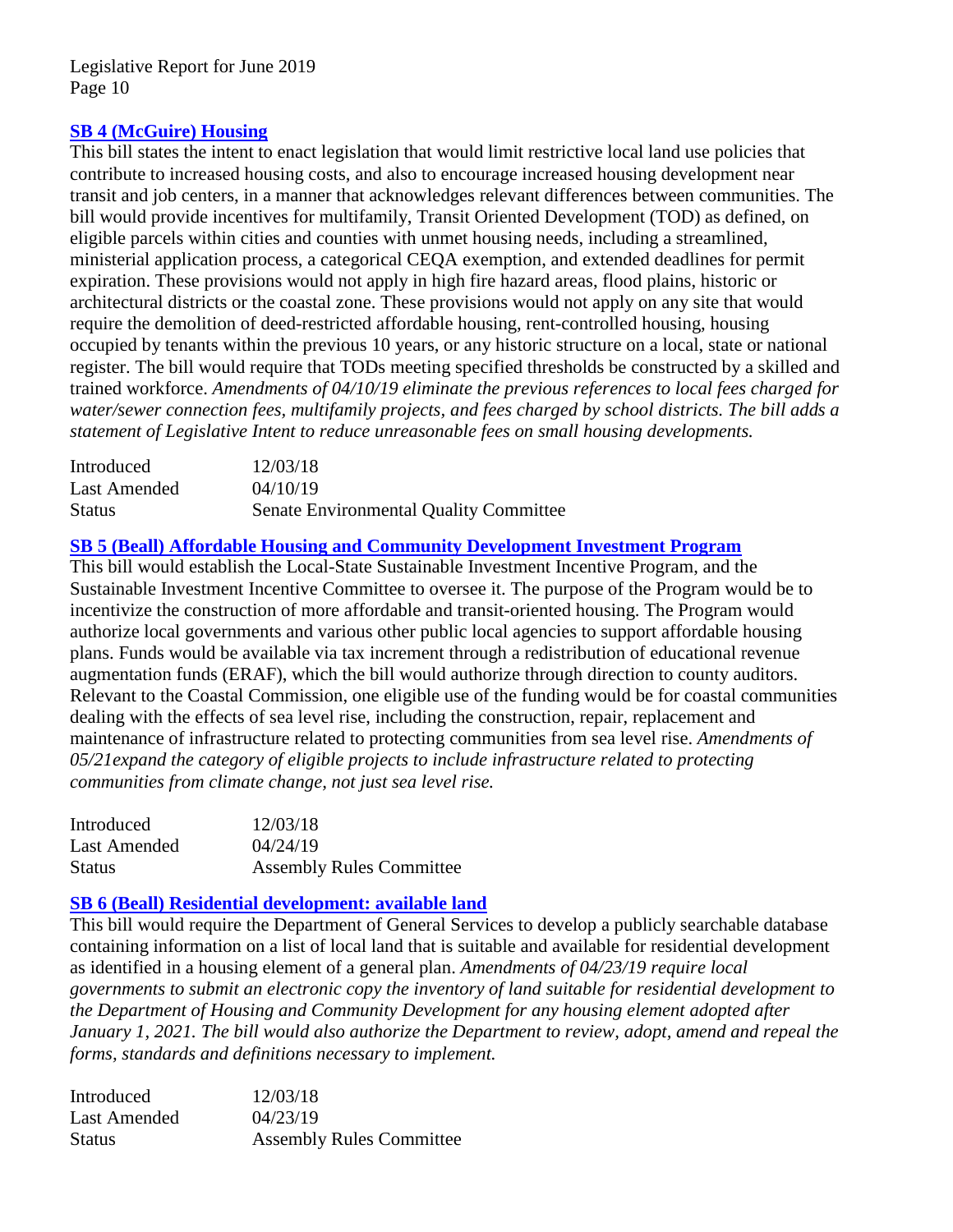# **[SB 4 \(McGuire\) Housing](http://leginfo.legislature.ca.gov/faces/billNavClient.xhtml?bill_id=201920200SB4)**

This bill states the intent to enact legislation that would limit restrictive local land use policies that contribute to increased housing costs, and also to encourage increased housing development near transit and job centers, in a manner that acknowledges relevant differences between communities. The bill would provide incentives for multifamily, Transit Oriented Development (TOD) as defined, on eligible parcels within cities and counties with unmet housing needs, including a streamlined, ministerial application process, a categorical CEQA exemption, and extended deadlines for permit expiration. These provisions would not apply in high fire hazard areas, flood plains, historic or architectural districts or the coastal zone. These provisions would not apply on any site that would require the demolition of deed-restricted affordable housing, rent-controlled housing, housing occupied by tenants within the previous 10 years, or any historic structure on a local, state or national register. The bill would require that TODs meeting specified thresholds be constructed by a skilled and trained workforce. *Amendments of 04/10/19 eliminate the previous references to local fees charged for water/sewer connection fees, multifamily projects, and fees charged by school districts. The bill adds a statement of Legislative Intent to reduce unreasonable fees on small housing developments.*

| Introduced    | 12/03/18                                      |
|---------------|-----------------------------------------------|
| Last Amended  | 04/10/19                                      |
| <b>Status</b> | <b>Senate Environmental Quality Committee</b> |

# **[SB 5 \(Beall\) Affordable Housing and Community Development](http://leginfo.legislature.ca.gov/faces/billNavClient.xhtml?bill_id=201920200SB5) Investment Program**

This bill would establish the Local-State Sustainable Investment Incentive Program, and the Sustainable Investment Incentive Committee to oversee it. The purpose of the Program would be to incentivize the construction of more affordable and transit-oriented housing. The Program would authorize local governments and various other public local agencies to support affordable housing plans. Funds would be available via tax increment through a redistribution of educational revenue augmentation funds (ERAF), which the bill would authorize through direction to county auditors. Relevant to the Coastal Commission, one eligible use of the funding would be for coastal communities dealing with the effects of sea level rise, including the construction, repair, replacement and maintenance of infrastructure related to protecting communities from sea level rise. *Amendments of 05/21expand the category of eligible projects to include infrastructure related to protecting communities from climate change, not just sea level rise.* 

| Introduced    | 12/03/18                        |
|---------------|---------------------------------|
| Last Amended  | 04/24/19                        |
| <b>Status</b> | <b>Assembly Rules Committee</b> |

#### **[SB 6 \(Beall\) Residential development: available land](http://leginfo.legislature.ca.gov/faces/billNavClient.xhtml?bill_id=201920200SB6)**

This bill would require the Department of General Services to develop a publicly searchable database containing information on a list of local land that is suitable and available for residential development as identified in a housing element of a general plan. *Amendments of 04/23/19 require local governments to submit an electronic copy the inventory of land suitable for residential development to the Department of Housing and Community Development for any housing element adopted after January 1, 2021. The bill would also authorize the Department to review, adopt, amend and repeal the forms, standards and definitions necessary to implement.*

| Introduced    | 12/03/18                        |
|---------------|---------------------------------|
| Last Amended  | 04/23/19                        |
| <b>Status</b> | <b>Assembly Rules Committee</b> |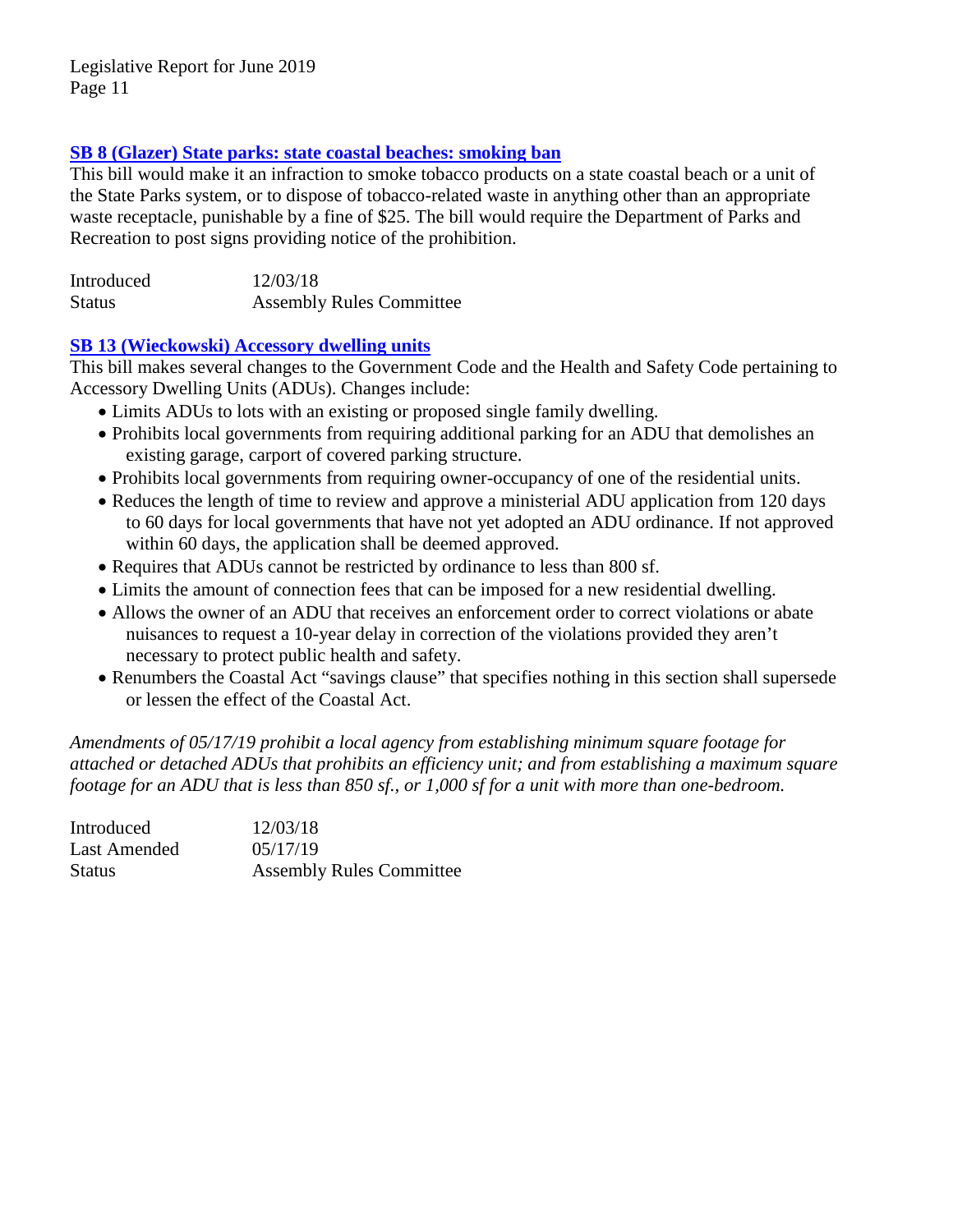# **SB 8 [\(Glazer\) State parks: state coastal beaches: smoking ban](http://leginfo.legislature.ca.gov/faces/billNavClient.xhtml?bill_id=201920200SB8)**

This bill would make it an infraction to smoke tobacco products on a state coastal beach or a unit of the State Parks system, or to dispose of tobacco-related waste in anything other than an appropriate waste receptacle, punishable by a fine of \$25. The bill would require the Department of Parks and Recreation to post signs providing notice of the prohibition.

| Introduced    | 12/03/18                        |
|---------------|---------------------------------|
| <b>Status</b> | <b>Assembly Rules Committee</b> |

#### **SB 13 [\(Wieckowski\) Accessory dwelling units](http://leginfo.legislature.ca.gov/faces/billNavClient.xhtml?bill_id=201920200SB13)**

This bill makes several changes to the Government Code and the Health and Safety Code pertaining to Accessory Dwelling Units (ADUs). Changes include:

- Limits ADUs to lots with an existing or proposed single family dwelling.
- Prohibits local governments from requiring additional parking for an ADU that demolishes an existing garage, carport of covered parking structure.
- Prohibits local governments from requiring owner-occupancy of one of the residential units.
- Reduces the length of time to review and approve a ministerial ADU application from 120 days to 60 days for local governments that have not yet adopted an ADU ordinance. If not approved within 60 days, the application shall be deemed approved.
- Requires that ADUs cannot be restricted by ordinance to less than 800 sf.
- Limits the amount of connection fees that can be imposed for a new residential dwelling.
- Allows the owner of an ADU that receives an enforcement order to correct violations or abate nuisances to request a 10-year delay in correction of the violations provided they aren't necessary to protect public health and safety.
- Renumbers the Coastal Act "savings clause" that specifies nothing in this section shall supersede or lessen the effect of the Coastal Act.

*Amendments of 05/17/19 prohibit a local agency from establishing minimum square footage for attached or detached ADUs that prohibits an efficiency unit; and from establishing a maximum square footage for an ADU that is less than 850 sf., or 1,000 sf for a unit with more than one-bedroom.*

| Introduced    | 12/03/18                        |
|---------------|---------------------------------|
| Last Amended  | 05/17/19                        |
| <b>Status</b> | <b>Assembly Rules Committee</b> |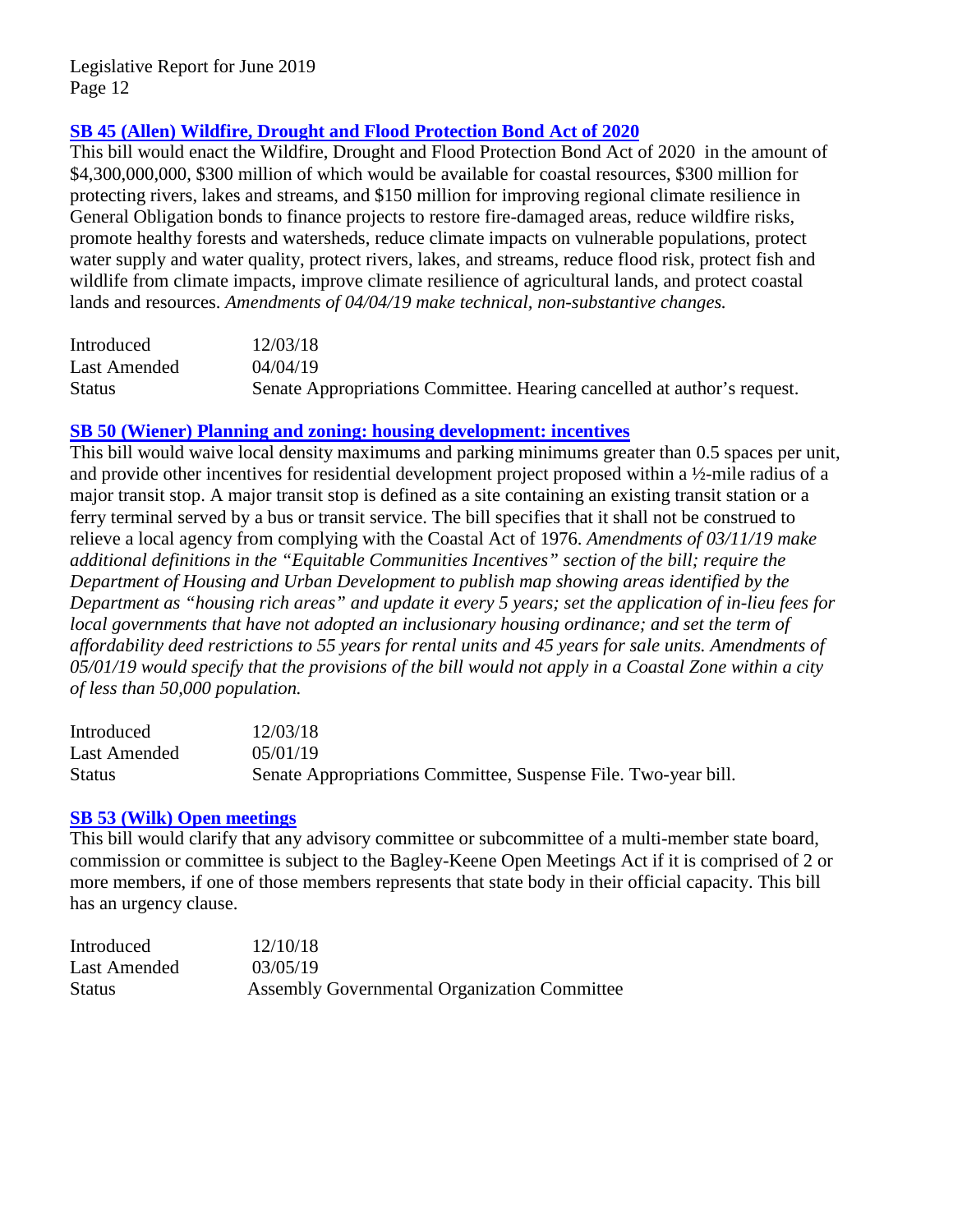# **[SB 45 \(Allen\) Wildfire, Drought and Flood Protection Bond Act of 2020](http://leginfo.legislature.ca.gov/faces/billNavClient.xhtml?bill_id=201920200SB45)**

This bill would enact the Wildfire, Drought and Flood Protection Bond Act of 2020 in the amount of \$4,300,000,000, \$300 million of which would be available for coastal resources, \$300 million for protecting rivers, lakes and streams, and \$150 million for improving regional climate resilience in General Obligation bonds to finance projects to restore fire-damaged areas, reduce wildfire risks, promote healthy forests and watersheds, reduce climate impacts on vulnerable populations, protect water supply and water quality, protect rivers, lakes, and streams, reduce flood risk, protect fish and wildlife from climate impacts, improve climate resilience of agricultural lands, and protect coastal lands and resources. *Amendments of 04/04/19 make technical, non-substantive changes.*

| Introduced    | 12/03/18                                                                |
|---------------|-------------------------------------------------------------------------|
| Last Amended  | 04/04/19                                                                |
| <b>Status</b> | Senate Appropriations Committee. Hearing cancelled at author's request. |

# **[SB 50 \(Wiener\) Planning and zoning: housing development: incentives](http://leginfo.legislature.ca.gov/faces/billNavClient.xhtml?bill_id=201920200SB50)**

This bill would waive local density maximums and parking minimums greater than 0.5 spaces per unit, and provide other incentives for residential development project proposed within a ½-mile radius of a major transit stop. A major transit stop is defined as a site containing an existing transit station or a ferry terminal served by a bus or transit service. The bill specifies that it shall not be construed to relieve a local agency from complying with the Coastal Act of 1976. *Amendments of 03/11/19 make additional definitions in the "Equitable Communities Incentives" section of the bill; require the Department of Housing and Urban Development to publish map showing areas identified by the Department as "housing rich areas" and update it every 5 years; set the application of in-lieu fees for local governments that have not adopted an inclusionary housing ordinance; and set the term of affordability deed restrictions to 55 years for rental units and 45 years for sale units. Amendments of 05/01/19 would specify that the provisions of the bill would not apply in a Coastal Zone within a city of less than 50,000 population.*

| Introduced    | 12/03/18                                                       |
|---------------|----------------------------------------------------------------|
| Last Amended  | 0.5/01/19                                                      |
| <b>Status</b> | Senate Appropriations Committee, Suspense File. Two-year bill. |

# **[SB 53 \(Wilk\) Open meetings](http://leginfo.legislature.ca.gov/faces/billNavClient.xhtml?bill_id=201920200SB53)**

This bill would clarify that any advisory committee or subcommittee of a multi-member state board, commission or committee is subject to the Bagley-Keene Open Meetings Act if it is comprised of 2 or more members, if one of those members represents that state body in their official capacity. This bill has an urgency clause.

| Introduced    | 12/10/18                                     |
|---------------|----------------------------------------------|
| Last Amended  | 03/05/19                                     |
| <b>Status</b> | Assembly Governmental Organization Committee |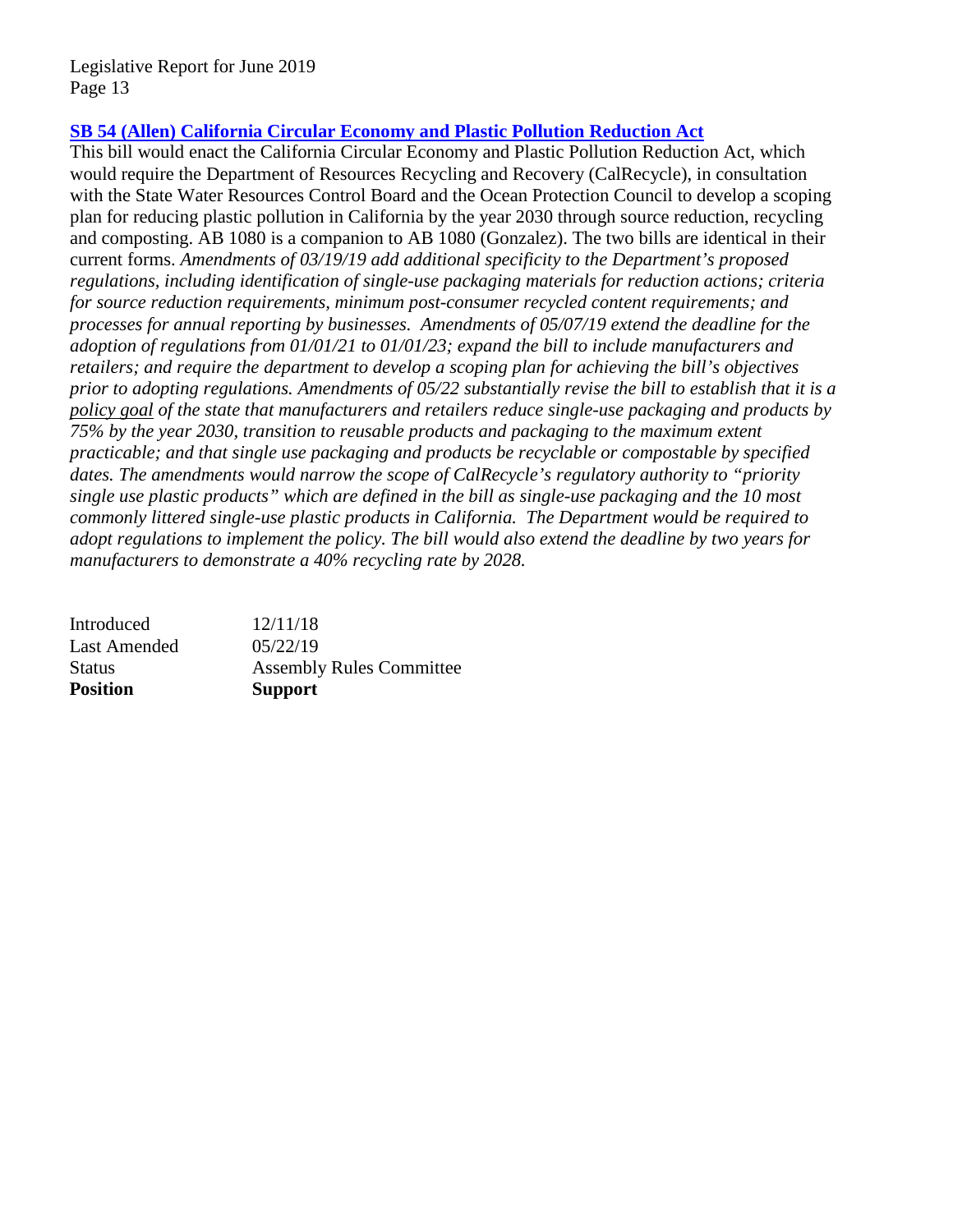# **SB 54 (Allen) [California Circular Economy and Plastic Pollution Reduction Act](http://leginfo.legislature.ca.gov/faces/billNavClient.xhtml?bill_id=201920200SB54)**

This bill would enact the California Circular Economy and Plastic Pollution Reduction Act, which would require the Department of Resources Recycling and Recovery (CalRecycle), in consultation with the State Water Resources Control Board and the Ocean Protection Council to develop a scoping plan for reducing plastic pollution in California by the year 2030 through source reduction, recycling and composting. AB 1080 is a companion to AB 1080 (Gonzalez). The two bills are identical in their current forms. *Amendments of 03/19/19 add additional specificity to the Department's proposed regulations, including identification of single-use packaging materials for reduction actions; criteria for source reduction requirements, minimum post-consumer recycled content requirements; and processes for annual reporting by businesses. Amendments of 05/07/19 extend the deadline for the adoption of regulations from 01/01/21 to 01/01/23; expand the bill to include manufacturers and retailers; and require the department to develop a scoping plan for achieving the bill's objectives prior to adopting regulations. Amendments of 05/22 substantially revise the bill to establish that it is a policy goal of the state that manufacturers and retailers reduce single-use packaging and products by 75% by the year 2030, transition to reusable products and packaging to the maximum extent practicable; and that single use packaging and products be recyclable or compostable by specified dates. The amendments would narrow the scope of CalRecycle's regulatory authority to "priority single use plastic products" which are defined in the bill as single-use packaging and the 10 most commonly littered single-use plastic products in California. The Department would be required to adopt regulations to implement the policy. The bill would also extend the deadline by two years for manufacturers to demonstrate a 40% recycling rate by 2028.* 

| Introduced          | 12/11/18                        |
|---------------------|---------------------------------|
| <b>Last Amended</b> | 05/22/19                        |
| <b>Status</b>       | <b>Assembly Rules Committee</b> |
| <b>Position</b>     | <b>Support</b>                  |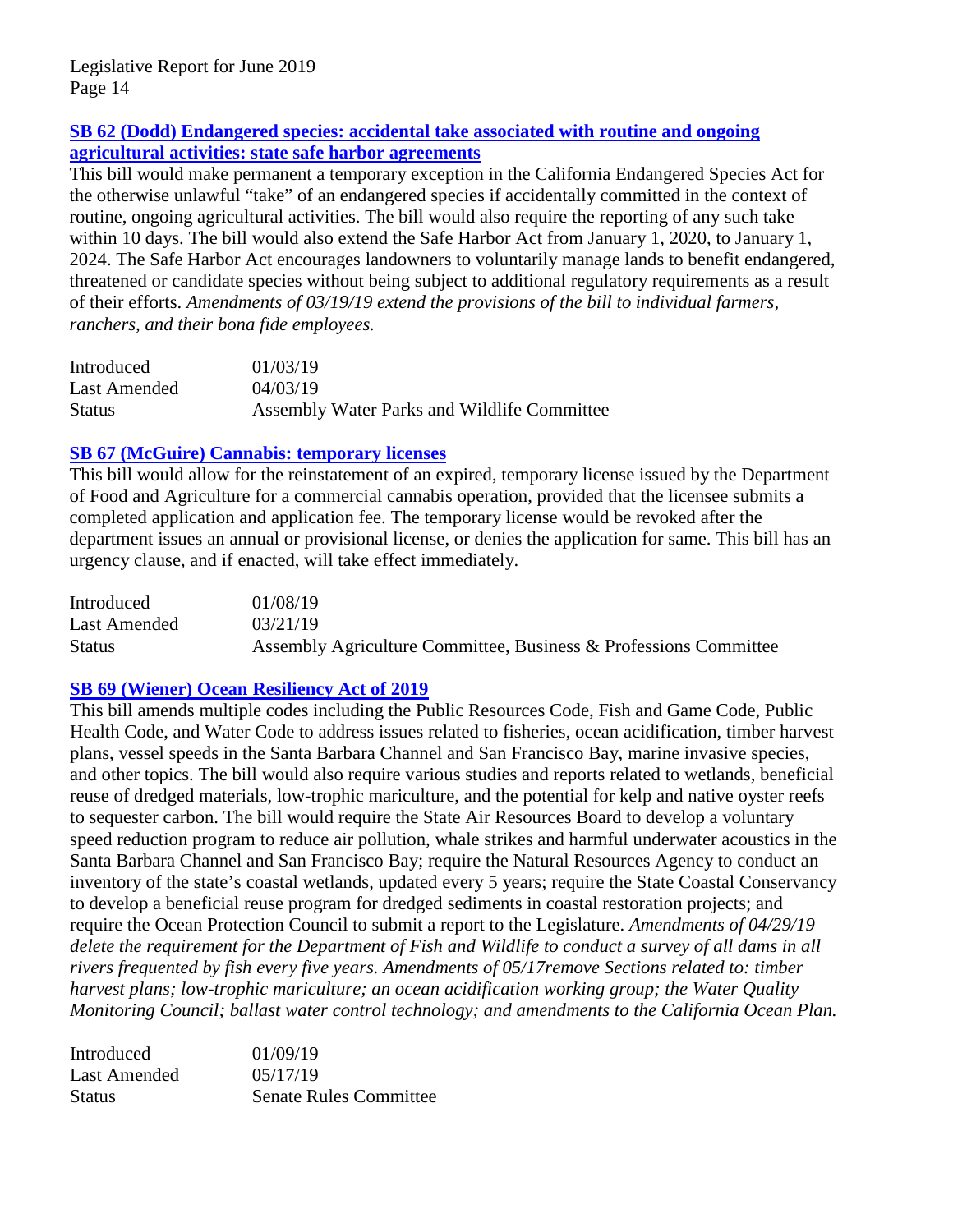# **[SB 62 \(Dodd\) Endangered species: accidental take](http://leginfo.legislature.ca.gov/faces/billNavClient.xhtml?bill_id=201920200SB62) associated with routine and ongoing [agricultural activities: state safe harbor agreements](http://leginfo.legislature.ca.gov/faces/billNavClient.xhtml?bill_id=201920200SB62)**

This bill would make permanent a temporary exception in the California Endangered Species Act for the otherwise unlawful "take" of an endangered species if accidentally committed in the context of routine, ongoing agricultural activities. The bill would also require the reporting of any such take within 10 days. The bill would also extend the Safe Harbor Act from January 1, 2020, to January 1, 2024. The Safe Harbor Act encourages landowners to voluntarily manage lands to benefit endangered, threatened or candidate species without being subject to additional regulatory requirements as a result of their efforts. *Amendments of 03/19/19 extend the provisions of the bill to individual farmers, ranchers, and their bona fide employees.* 

| Introduced    | 01/03/19                                    |
|---------------|---------------------------------------------|
| Last Amended  | 04/03/19                                    |
| <b>Status</b> | Assembly Water Parks and Wildlife Committee |

# **[SB 67 \(McGuire\) Cannabis: temporary licenses](http://leginfo.legislature.ca.gov/faces/billNavClient.xhtml?bill_id=201920200SB67)**

This bill would allow for the reinstatement of an expired, temporary license issued by the Department of Food and Agriculture for a commercial cannabis operation, provided that the licensee submits a completed application and application fee. The temporary license would be revoked after the department issues an annual or provisional license, or denies the application for same. This bill has an urgency clause, and if enacted, will take effect immediately.

| Introduced    | 01/08/19                                                         |
|---------------|------------------------------------------------------------------|
| Last Amended  | 03/21/19                                                         |
| <b>Status</b> | Assembly Agriculture Committee, Business & Professions Committee |

# **[SB 69 \(Wiener\) Ocean Resiliency](http://leginfo.legislature.ca.gov/faces/billTextClient.xhtml?bill_id=201920200SB69) Act of 2019**

This bill amends multiple codes including the Public Resources Code, Fish and Game Code, Public Health Code, and Water Code to address issues related to fisheries, ocean acidification, timber harvest plans, vessel speeds in the Santa Barbara Channel and San Francisco Bay, marine invasive species, and other topics. The bill would also require various studies and reports related to wetlands, beneficial reuse of dredged materials, low-trophic mariculture, and the potential for kelp and native oyster reefs to sequester carbon. The bill would require the State Air Resources Board to develop a voluntary speed reduction program to reduce air pollution, whale strikes and harmful underwater acoustics in the Santa Barbara Channel and San Francisco Bay; require the Natural Resources Agency to conduct an inventory of the state's coastal wetlands, updated every 5 years; require the State Coastal Conservancy to develop a beneficial reuse program for dredged sediments in coastal restoration projects; and require the Ocean Protection Council to submit a report to the Legislature. *Amendments of 04/29/19 delete the requirement for the Department of Fish and Wildlife to conduct a survey of all dams in all rivers frequented by fish every five years. Amendments of 05/17remove Sections related to: timber harvest plans; low-trophic mariculture; an ocean acidification working group; the Water Quality Monitoring Council; ballast water control technology; and amendments to the California Ocean Plan.* 

| Introduced    | 01/09/19                      |
|---------------|-------------------------------|
| Last Amended  | 05/17/19                      |
| <b>Status</b> | <b>Senate Rules Committee</b> |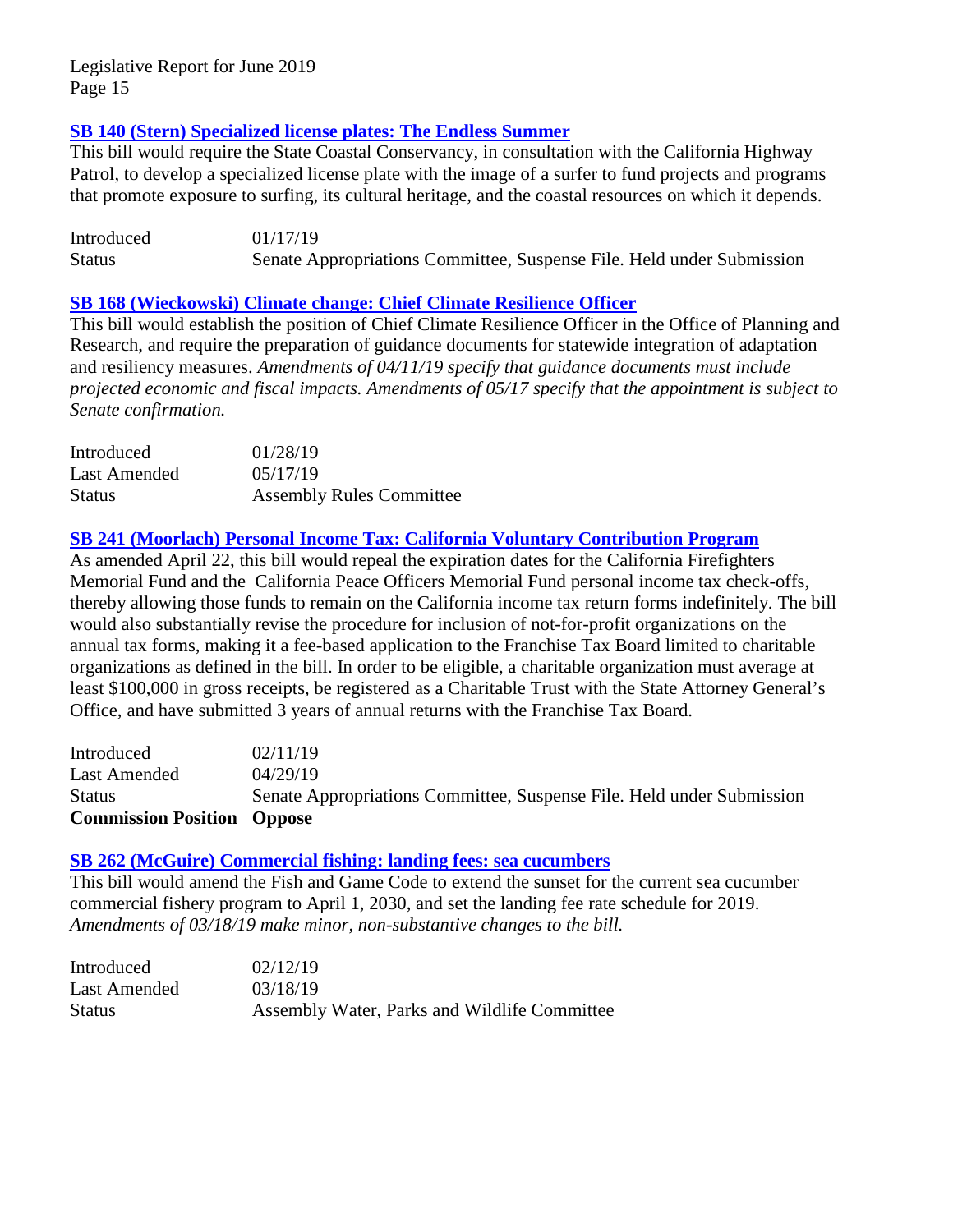# **[SB 140 \(Stern\) Specialized license plates: The Endless Summer](http://leginfo.legislature.ca.gov/faces/billNavClient.xhtml?bill_id=201920200SB140)**

This bill would require the State Coastal Conservancy, in consultation with the California Highway Patrol, to develop a specialized license plate with the image of a surfer to fund projects and programs that promote exposure to surfing, its cultural heritage, and the coastal resources on which it depends.

Introduced 01/17/19 Status Senate Appropriations Committee, Suspense File. Held under Submission

# **[SB 168 \(Wieckowski\) Climate change: Chief Climate Resilience Officer](http://leginfo.legislature.ca.gov/faces/billNavClient.xhtml?bill_id=201920200SB168)**

This bill would establish the position of Chief Climate Resilience Officer in the Office of Planning and Research, and require the preparation of guidance documents for statewide integration of adaptation and resiliency measures. *Amendments of 04/11/19 specify that guidance documents must include projected economic and fiscal impacts. Amendments of 05/17 specify that the appointment is subject to Senate confirmation.*

| Introduced    | 01/28/19                        |
|---------------|---------------------------------|
| Last Amended  | 0.5/17/19                       |
| <b>Status</b> | <b>Assembly Rules Committee</b> |

# **[SB 241 \(Moorlach\) Personal Income Tax: California Voluntary Contribution Program](http://leginfo.legislature.ca.gov/faces/billNavClient.xhtml?bill_id=201920200SB241)**

As amended April 22, this bill would repeal the expiration dates for the California Firefighters Memorial Fund and the California Peace Officers Memorial Fund personal income tax check-offs, thereby allowing those funds to remain on the California income tax return forms indefinitely. The bill would also substantially revise the procedure for inclusion of not-for-profit organizations on the annual tax forms, making it a fee-based application to the Franchise Tax Board limited to charitable organizations as defined in the bill. In order to be eligible, a charitable organization must average at least \$100,000 in gross receipts, be registered as a Charitable Trust with the State Attorney General's Office, and have submitted 3 years of annual returns with the Franchise Tax Board.

| <b>Commission Position Oppose</b> |                                                                       |
|-----------------------------------|-----------------------------------------------------------------------|
| <b>Status</b>                     | Senate Appropriations Committee, Suspense File. Held under Submission |
| Last Amended                      | 04/29/19                                                              |
| Introduced                        | 02/11/19                                                              |

#### **[SB 262 \(McGuire\) Commercial fishing: landing fees: sea cucumbers](http://leginfo.legislature.ca.gov/faces/billNavClient.xhtml?bill_id=201920200SB262)**

This bill would amend the Fish and Game Code to extend the sunset for the current sea cucumber commercial fishery program to April 1, 2030, and set the landing fee rate schedule for 2019. *Amendments of 03/18/19 make minor, non-substantive changes to the bill.*

| Introduced    | 02/12/19                                     |
|---------------|----------------------------------------------|
| Last Amended  | 03/18/19                                     |
| <b>Status</b> | Assembly Water, Parks and Wildlife Committee |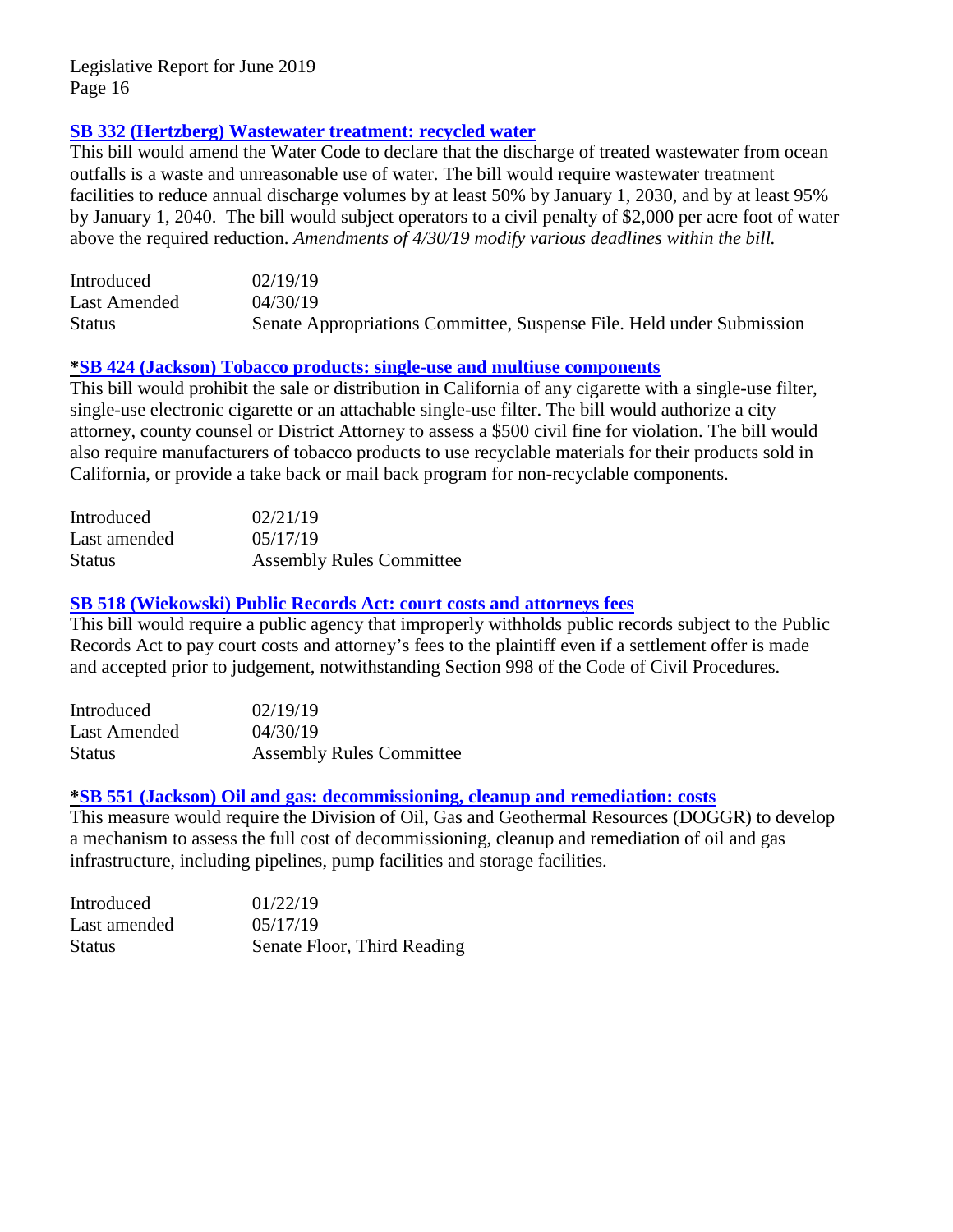# **[SB 332 \(Hertzberg\) Wastewater treatment: recycled water](http://leginfo.legislature.ca.gov/faces/billTextClient.xhtml?bill_id=201920200SB332)**

This bill would amend the Water Code to declare that the discharge of treated wastewater from ocean outfalls is a waste and unreasonable use of water. The bill would require wastewater treatment facilities to reduce annual discharge volumes by at least 50% by January 1, 2030, and by at least 95% by January 1, 2040. The bill would subject operators to a civil penalty of \$2,000 per acre foot of water above the required reduction. *Amendments of 4/30/19 modify various deadlines within the bill.*

| Introduced    | 02/19/19                                                              |
|---------------|-----------------------------------------------------------------------|
| Last Amended  | 04/30/19                                                              |
| <b>Status</b> | Senate Appropriations Committee, Suspense File. Held under Submission |

#### **[\\*SB 424 \(Jackson\) Tobacco products: single-use and multiuse components](http://leginfo.legislature.ca.gov/faces/billNavClient.xhtml?bill_id=201920200SB424)**

This bill would prohibit the sale or distribution in California of any cigarette with a single-use filter, single-use electronic cigarette or an attachable single-use filter. The bill would authorize a city attorney, county counsel or District Attorney to assess a \$500 civil fine for violation. The bill would also require manufacturers of tobacco products to use recyclable materials for their products sold in California, or provide a take back or mail back program for non-recyclable components.

| Introduced    | 02/21/19                        |
|---------------|---------------------------------|
| Last amended  | 05/17/19                        |
| <b>Status</b> | <b>Assembly Rules Committee</b> |

# **[SB 518 \(Wiekowski\) Public Records Act: court costs and attorneys fees](http://leginfo.legislature.ca.gov/faces/billTextClient.xhtml?bill_id=201920200SB518)**

This bill would require a public agency that improperly withholds public records subject to the Public Records Act to pay court costs and attorney's fees to the plaintiff even if a settlement offer is made and accepted prior to judgement, notwithstanding Section 998 of the Code of Civil Procedures.

| Introduced    | 02/19/19                        |
|---------------|---------------------------------|
| Last Amended  | 04/30/19                        |
| <b>Status</b> | <b>Assembly Rules Committee</b> |

#### **[\\*SB 551 \(Jackson\) Oil and gas: decommissioning, cleanup and remediation: costs](http://leginfo.legislature.ca.gov/faces/billNavClient.xhtml?bill_id=201920200SB551)**

This measure would require the Division of Oil, Gas and Geothermal Resources (DOGGR) to develop a mechanism to assess the full cost of decommissioning, cleanup and remediation of oil and gas infrastructure, including pipelines, pump facilities and storage facilities.

| Introduced    | 01/22/19                    |
|---------------|-----------------------------|
| Last amended  | 0.5/17/19                   |
| <b>Status</b> | Senate Floor, Third Reading |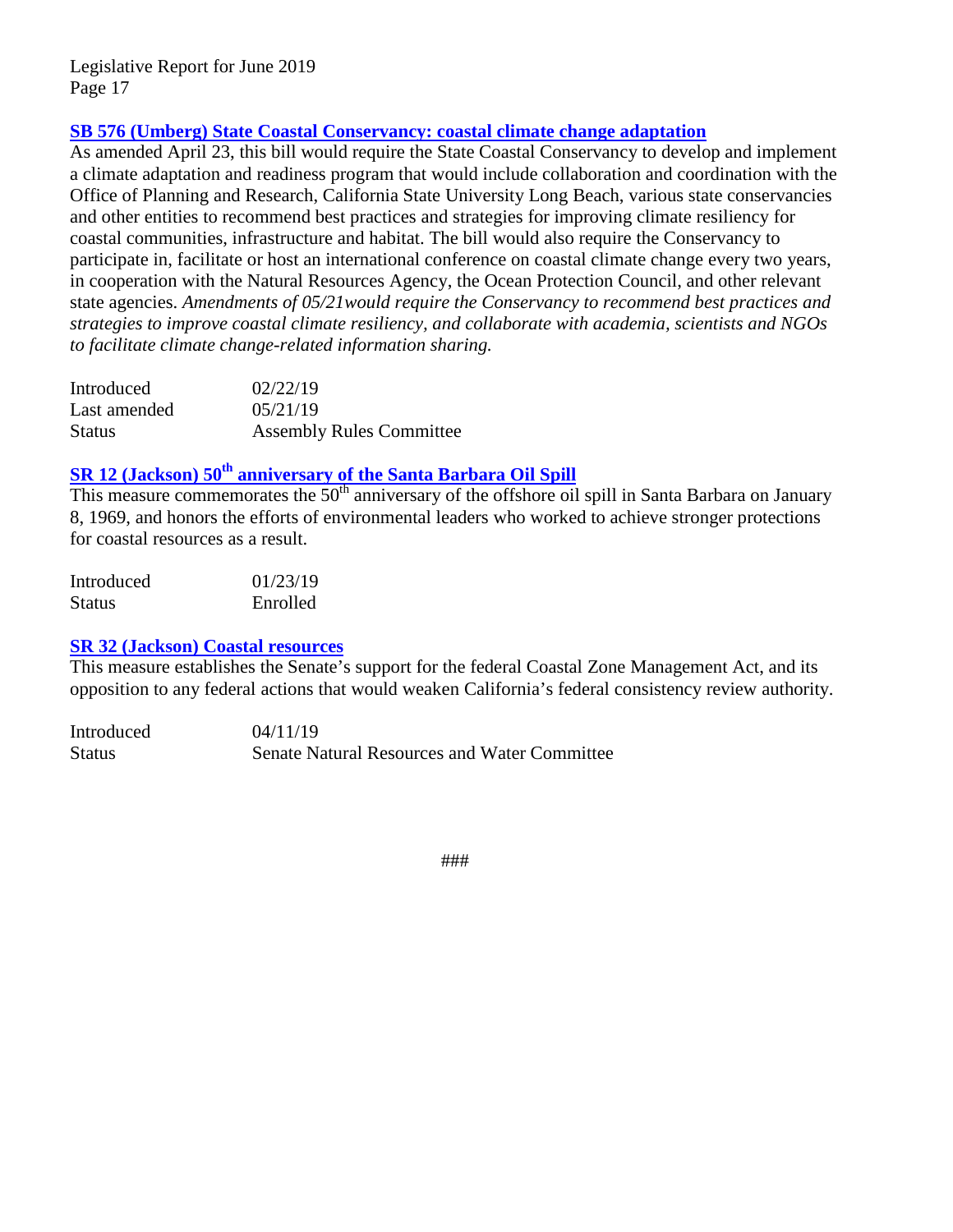# **[SB 576 \(Umberg\) State Coastal Conservancy: coastal climate change adaptation](http://leginfo.legislature.ca.gov/faces/billNavClient.xhtml?bill_id=201920200SB576)**

As amended April 23, this bill would require the State Coastal Conservancy to develop and implement a climate adaptation and readiness program that would include collaboration and coordination with the Office of Planning and Research, California State University Long Beach, various state conservancies and other entities to recommend best practices and strategies for improving climate resiliency for coastal communities, infrastructure and habitat. The bill would also require the Conservancy to participate in, facilitate or host an international conference on coastal climate change every two years, in cooperation with the Natural Resources Agency, the Ocean Protection Council, and other relevant state agencies. *Amendments of 05/21would require the Conservancy to recommend best practices and strategies to improve coastal climate resiliency, and collaborate with academia, scientists and NGOs to facilitate climate change-related information sharing.*

| Introduced    | 02/22/19                        |
|---------------|---------------------------------|
| Last amended  | 05/21/19                        |
| <b>Status</b> | <b>Assembly Rules Committee</b> |

# **SR 12 (Jackson)**  $50<sup>th</sup>$  **[anniversary of the Santa Barbara Oil Spill](http://leginfo.legislature.ca.gov/faces/billTextClient.xhtml?bill_id=201920200SR12)**

This measure commemorates the 50<sup>th</sup> anniversary of the offshore oil spill in Santa Barbara on January 8, 1969, and honors the efforts of environmental leaders who worked to achieve stronger protections for coastal resources as a result.

| Introduced | 01/23/19 |
|------------|----------|
| Status     | Enrolled |

#### **[SR 32 \(Jackson\) Coastal resources](http://leginfo.legislature.ca.gov/faces/billNavClient.xhtml?bill_id=201920200SR32)**

This measure establishes the Senate's support for the federal Coastal Zone Management Act, and its opposition to any federal actions that would weaken California's federal consistency review authority.

Introduced 04/11/19 Status Senate Natural Resources and Water Committee

###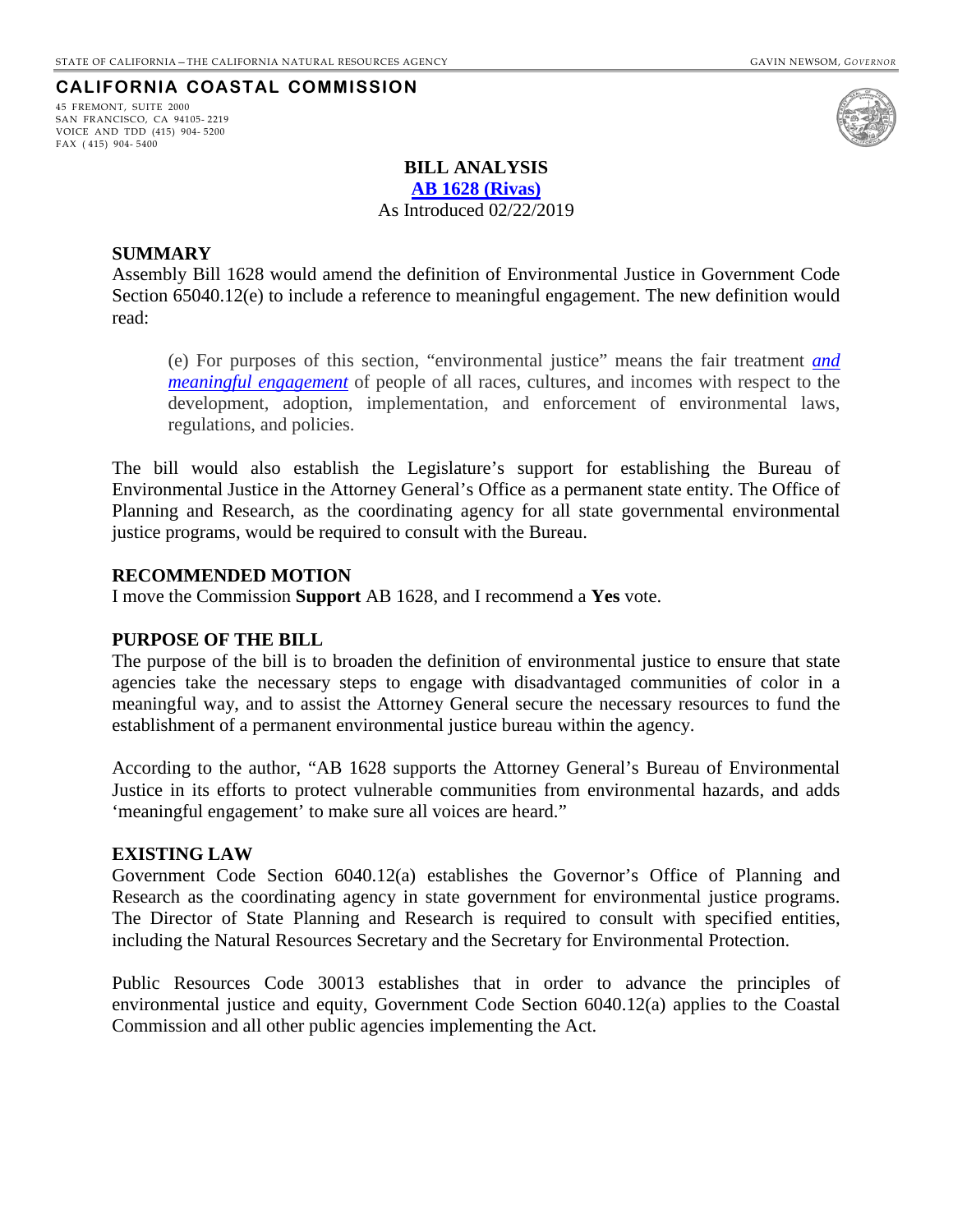#### **CALIFORNIA COASTAL COMMISSION**

<span id="page-17-0"></span>45 FREMONT, SUITE 2000 SAN FRANCISCO, CA 94105- 2219 VOICE AND TDD (415) 904- 5200 FAX ( 415) 904- 5400



#### **BILL ANALYSIS**

**[AB 1628](http://leginfo.legislature.ca.gov/faces/billNavClient.xhtml?bill_id=201920200AB1628) (Rivas)**

As Introduced 02/22/2019

#### **SUMMARY**

Assembly Bill 1628 would amend the definition of Environmental Justice in Government Code Section 65040.12(e) to include a reference to meaningful engagement. The new definition would read:

(e) For purposes of this section, "environmental justice" means the fair treatment *and meaningful engagement* of people of all races, cultures, and incomes with respect to the development, adoption, implementation, and enforcement of environmental laws, regulations, and policies.

The bill would also establish the Legislature's support for establishing the Bureau of Environmental Justice in the Attorney General's Office as a permanent state entity. The Office of Planning and Research, as the coordinating agency for all state governmental environmental justice programs, would be required to consult with the Bureau.

#### **RECOMMENDED MOTION**

I move the Commission **Support** AB 1628, and I recommend a **Yes** vote.

#### **PURPOSE OF THE BILL**

The purpose of the bill is to broaden the definition of environmental justice to ensure that state agencies take the necessary steps to engage with disadvantaged communities of color in a meaningful way, and to assist the Attorney General secure the necessary resources to fund the establishment of a permanent environmental justice bureau within the agency.

According to the author, "AB 1628 supports the Attorney General's Bureau of Environmental Justice in its efforts to protect vulnerable communities from environmental hazards, and adds 'meaningful engagement' to make sure all voices are heard."

#### **EXISTING LAW**

Government Code Section 6040.12(a) establishes the Governor's Office of Planning and Research as the coordinating agency in state government for environmental justice programs. The Director of State Planning and Research is required to consult with specified entities, including the Natural Resources Secretary and the Secretary for Environmental Protection.

Public Resources Code 30013 establishes that in order to advance the principles of environmental justice and equity, Government Code Section 6040.12(a) applies to the Coastal Commission and all other public agencies implementing the Act.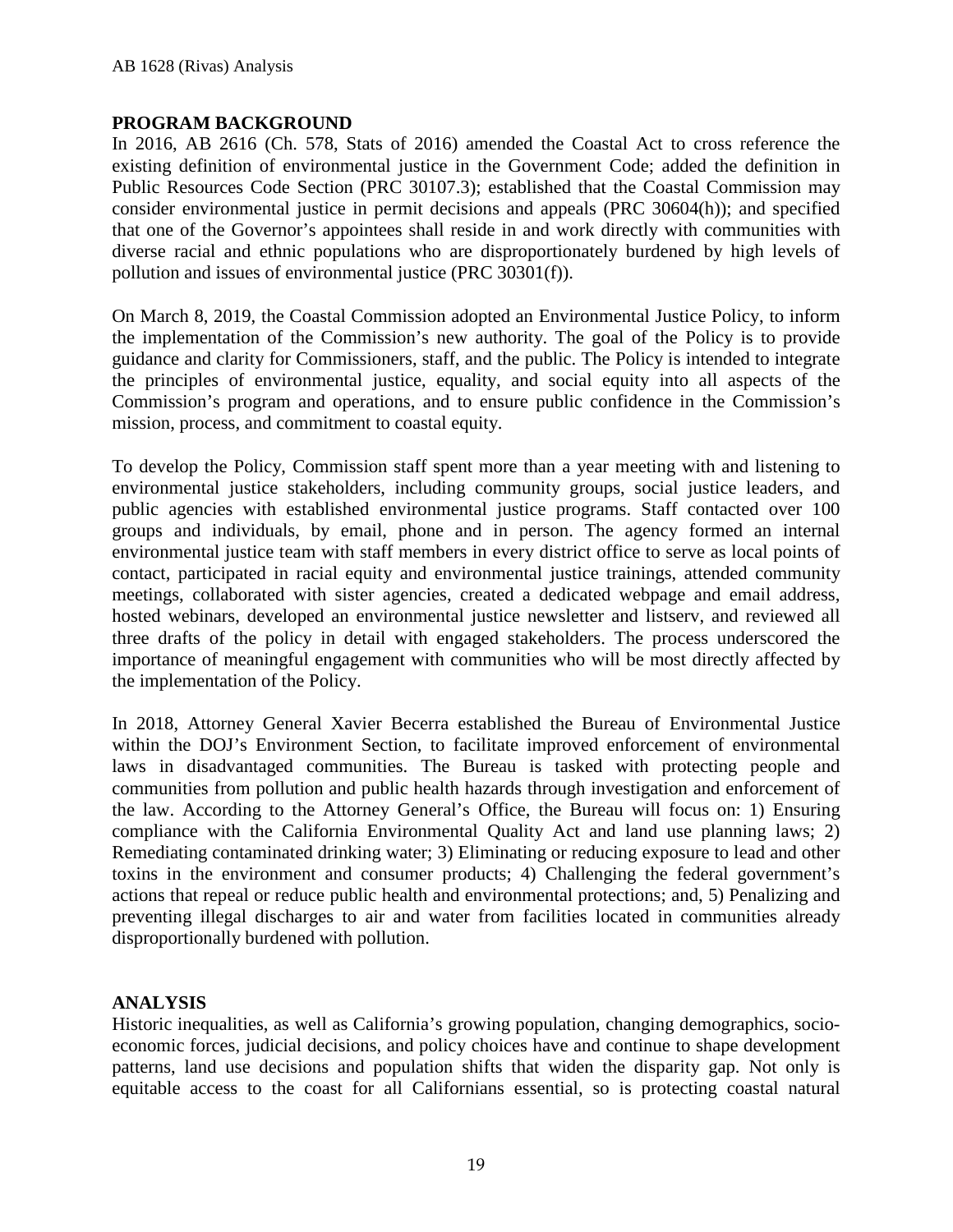### **PROGRAM BACKGROUND**

In 2016, AB 2616 (Ch. 578, Stats of 2016) amended the Coastal Act to cross reference the existing definition of environmental justice in the Government Code; added the definition in Public Resources Code Section (PRC 30107.3); established that the Coastal Commission may consider environmental justice in permit decisions and appeals (PRC 30604(h)); and specified that one of the Governor's appointees shall reside in and work directly with communities with diverse racial and ethnic populations who are disproportionately burdened by high levels of pollution and issues of environmental justice (PRC 30301(f)).

On March 8, 2019, the Coastal Commission adopted an Environmental Justice Policy, to inform the implementation of the Commission's new authority. The goal of the Policy is to provide guidance and clarity for Commissioners, staff, and the public. The Policy is intended to integrate the principles of environmental justice, equality, and social equity into all aspects of the Commission's program and operations, and to ensure public confidence in the Commission's mission, process, and commitment to coastal equity.

To develop the Policy, Commission staff spent more than a year meeting with and listening to environmental justice stakeholders, including community groups, social justice leaders, and public agencies with established environmental justice programs. Staff contacted over 100 groups and individuals, by email, phone and in person. The agency formed an internal environmental justice team with staff members in every district office to serve as local points of contact, participated in racial equity and environmental justice trainings, attended community meetings, collaborated with sister agencies, created a dedicated webpage and email address, hosted webinars, developed an environmental justice newsletter and listserv, and reviewed all three drafts of the policy in detail with engaged stakeholders. The process underscored the importance of meaningful engagement with communities who will be most directly affected by the implementation of the Policy.

In 2018, Attorney General Xavier Becerra established the Bureau of Environmental Justice within the DOJ's Environment Section, to facilitate improved enforcement of environmental laws in disadvantaged communities. The Bureau is tasked with protecting people and communities from pollution and public health hazards through investigation and enforcement of the law. According to the Attorney General's Office, the Bureau will focus on: 1) Ensuring compliance with the California Environmental Quality Act and land use planning laws; 2) Remediating contaminated drinking water; 3) Eliminating or reducing exposure to lead and other toxins in the environment and consumer products; 4) Challenging the federal government's actions that repeal or reduce public health and environmental protections; and, 5) Penalizing and preventing illegal discharges to air and water from facilities located in communities already disproportionally burdened with pollution.

# **ANALYSIS**

Historic inequalities, as well as California's growing population, changing demographics, socioeconomic forces, judicial decisions, and policy choices have and continue to shape development patterns, land use decisions and population shifts that widen the disparity gap. Not only is equitable access to the coast for all Californians essential, so is protecting coastal natural